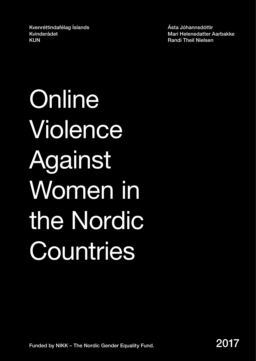Kvenréttindafélag Íslands Kvinderådet KUN

Ásta Jóhannsdóttir Mari Helenedatter Aarbakke Randi Theil Nielsen

**Online** Violence Against Women in the Nordic **Countries**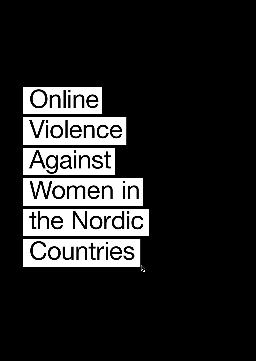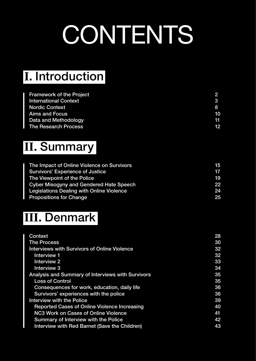# **CONTENTS**

### **Ⅰ.** Introduction

| <b>Framework of the Project</b> |    |
|---------------------------------|----|
| <b>International Context</b>    | 3  |
| <b>Nordic Context</b>           | 8  |
| <b>Aims and Focus</b>           | 10 |
| Data and Methodology            | 11 |
| <b>The Research Process</b>     | 12 |

### **Ⅱ.** Summary

| The Impact of Online Violence on Survivors | 15 |
|--------------------------------------------|----|
| <b>Survivors' Experience of Justice</b>    | 17 |
| The Viewpoint of the Police                | 19 |
| Cyber Misogyny and Gendered Hate Speech    | 22 |
| Legislations Dealing with Online Violence  | 24 |
| <b>Propositions for Change</b>             | 25 |

### **Ⅲ.** Denmark

| <b>Context</b>                                           | 28 |
|----------------------------------------------------------|----|
| <b>The Process</b>                                       | 30 |
| <b>Interviews with Survivors of Online Violence</b>      | 32 |
| <b>Interview 1</b>                                       | 32 |
| <b>Interview 2</b>                                       | 33 |
| Interview 3                                              | 34 |
| <b>Analysis and Summary of Interviews with Survivors</b> | 35 |
| <b>Loss of Control</b>                                   | 35 |
| Consequences for work, education, daily life             | 36 |
| Survivors' experiences with the police                   | 36 |
| Interview with the Police                                | 39 |
| <b>Reported Cases of Online Violence Increasing</b>      | 40 |
| <b>NC3 Work on Cases of Online Violence</b>              | 41 |
| <b>Summary of Interview with the Police</b>              | 42 |
| Interview with Red Barnet (Save the Children)            | 43 |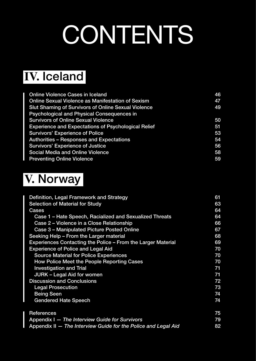# **CONTENTS**

### **Ⅳ.** Iceland

| <b>Online Violence Cases in Iceland</b>                    | 46 |
|------------------------------------------------------------|----|
| <b>Online Sexual Violence as Manifestation of Sexism</b>   | 47 |
| <b>Slut Shaming of Survivors of Online Sexual Violence</b> | 49 |
| <b>Psychological and Physical Consequences in</b>          |    |
| <b>Survivors of Online Sexual Violence</b>                 | 50 |
| <b>Experience and Expectations of Psychological Relief</b> | 51 |
| <b>Survivors' Experience of Police</b>                     | 53 |
| <b>Authorities - Responses and Expectations</b>            | 54 |
| <b>Survivors' Experience of Justice</b>                    | 56 |
| <b>Social Media and Online Violence</b>                    | 58 |
| <b>Preventing Online Violence</b>                          | 59 |

### **Ⅴ.** Norway

| Definition, Legal Framework and Strategy                       | 61 |  |  |  |  |  |  |  |
|----------------------------------------------------------------|----|--|--|--|--|--|--|--|
| <b>Selection of Material for Study</b>                         |    |  |  |  |  |  |  |  |
| <b>Cases</b>                                                   | 64 |  |  |  |  |  |  |  |
| Case 1 – Hate Speech, Racialized and Sexualized Threats        | 64 |  |  |  |  |  |  |  |
| Case 2 - Violence in a Close Relationship                      | 66 |  |  |  |  |  |  |  |
| Case 3 - Manipulated Picture Posted Online                     | 67 |  |  |  |  |  |  |  |
| Seeking Help - From the Larger material                        | 68 |  |  |  |  |  |  |  |
| Experiences Contacting the Police - From the Larger Material   | 69 |  |  |  |  |  |  |  |
| <b>Experience of Police and Legal Aid</b>                      | 70 |  |  |  |  |  |  |  |
| <b>Source Material for Police Experiences</b>                  | 70 |  |  |  |  |  |  |  |
| How Police Meet the People Reporting Cases                     | 70 |  |  |  |  |  |  |  |
| <b>Investigation and Trial</b>                                 | 71 |  |  |  |  |  |  |  |
| <b>JURK - Legal Aid for women</b>                              | 71 |  |  |  |  |  |  |  |
| <b>Discussion and Conclusions</b>                              | 72 |  |  |  |  |  |  |  |
| <b>Legal Prosecution</b>                                       | 73 |  |  |  |  |  |  |  |
| <b>Being Seen</b>                                              | 74 |  |  |  |  |  |  |  |
| <b>Gendered Hate Speech</b>                                    | 74 |  |  |  |  |  |  |  |
| <b>References</b>                                              | 75 |  |  |  |  |  |  |  |
| Appendix I - The Interview Guide for Survivors                 | 79 |  |  |  |  |  |  |  |
| Appendix II - The Interview Guide for the Police and Legal Aid | 82 |  |  |  |  |  |  |  |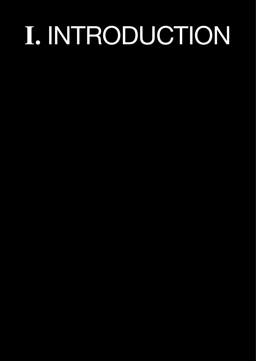# **Ⅰ.** INTRODUCTION

- 
- 
- 
- 
- 
- 
- 
-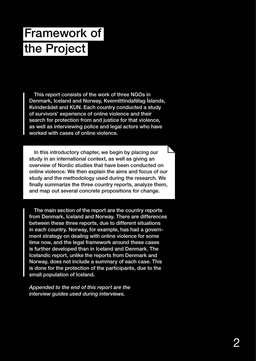# Framework of the Project

This report consists of the work of three NGOs in Denmark, Iceland and Norway, Kvenréttindafélag Íslands, Kvinderådet and KUN. Each country conducted a study of survivors' experience of online violence and their search for protection from and justice for that violence, as well as interviewing police and legal actors who have worked with cases of online violence.

In this introductory chapter, we begin by placing our study in an international context, as well as giving an overview of Nordic studies that have been conducted on online violence. We then explain the aims and focus of our study and the methodology used during the research. We finally summarize the three country reports, analyze them, and map out several concrete propositions for change.

The main section of the report are the country reports from Denmark, Iceland and Norway. There are differences between these three reports, due to different situations in each country. Norway, for example, has had a government strategy on dealing with online violence for some time now, and the legal framework around these cases is further developed than in Iceland and Denmark. The Icelandic report, unlike the reports from Denmark and Norway, does not include a summary of each case. This is done for the protection of the participants, due to the small population of Iceland.

*Appended to the end of this report are the interview guides used during interviews.*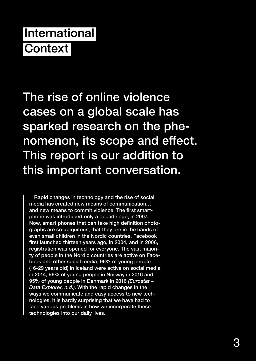## International **Context**

The rise of online violence cases on a global scale has sparked research on the phenomenon, its scope and effect. This report is our addition to this important conversation.

Rapid changes in technology and the rise of social media has created new means of communication… and new means to commit violence. The first smartphone was introduced only a decade ago, in 2007. Now, smart phones that can take high definition photographs are so ubiquitous, that they are in the hands of even small children in the Nordic countries. Facebook first launched thirteen years ago, in 2004, and in 2006, registration was opened for everyone. The vast majority of people in the Nordic countries are active on Facebook and other social media, 96% of young people (16-29 years old) in Iceland were active on social media in 2014, 96% of young people in Norway in 2016 and 95% of young people in Denmark in 2016 *(Eurostat – Data Explorer, n.d.)*. With the rapid changes in the ways we communicate and easy access to new technologies, it is hardly surprising that we have had to face various problems in how we incorporate these technologies into our daily lives.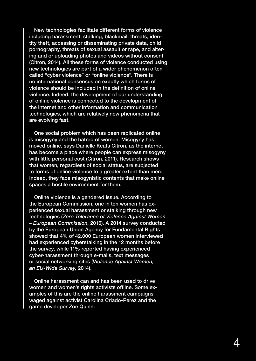New technologies facilitate different forms of violence including harassment, stalking, blackmail, threats, identity theft, accessing or disseminating private data, child pornography, threats of sexual assault or rape, and altering and or uploading photos and videos without consent (Citron, 2014). All these forms of violence conducted using new technologies are part of a wider phenomenon often called "cyber violence" or "online violence". There is no international consensus on exactly which forms of violence should be included in the definition of online violence. Indeed, the development of our understanding of online violence is connected to the development of the internet and other information and communication technologies, which are relatively new phenomena that are evolving fast.

One social problem which has been replicated online is misogyny and the hatred of women. Misogyny has moved online, says Danielle Keats Citron, as the internet has become a place where people can express misogyny with little personal cost (Citron, 2011). Research shows that women, regardless of social status, are subjected to forms of online violence to a greater extent than men. Indeed, they face misogynistic contents that make online spaces a hostile environment for them.

Online violence is a gendered issue. According to the European Commission, one in ten women has experienced sexual harassment or stalking through new technologies (*Zero Tolerance of Violence Against Women – European Commission*, 2016). A 2014 survey conducted by the European Union Agency for Fundamental Rights showed that 4% of 42.000 European women interviewed had experienced cyberstalking in the 12 months before the survey, while 11% reported having experienced cyber-harassment through e-mails, text messages or social networking sites (*Violence Against Women; an EU-Wide Survey,* 2014).

Online harassment can and has been used to drive women and women's rights activists offline. Some examples of this are the online harassment campaigns waged against activist Carolina Criado-Perez and the game developer Zoe Quinn.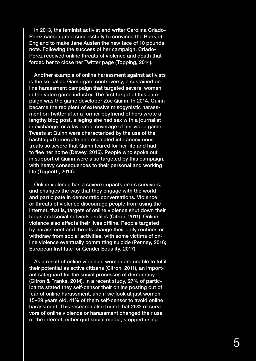In 2013, the feminist activist and writer Carolina Criado-Perez campaigned successfully to convince the Bank of England to make Jane Austen the new face of 10 pounds note. Following the success of her campaign, Criado-Perez received online threats of violence and death that forced her to close her Twitter page (Topping, 2014).

Another example of online harassment against activists is the so-called Gamergate controversy, a sustained online harassment campaign that targeted several women in the video game industry. The first target of this campaign was the game developer Zoe Quinn. In 2014, Quinn became the recipient of extensive misogynistic harassment on Twitter after a former boyfriend of hers wrote a lengthy blog post, alleging she had sex with a journalist in exchange for a favorable coverage of her video game. Tweets at Quinn were characterized by the use of the hashtag #Gamergate and escalated into anonymous treats so severe that Quinn feared for her life and had to flee her home (Dewey, 2016). People who spoke out in support of Quinn were also targeted by this campaign, with heavy consequences to their personal and working life (Tognotti, 2014).

Online violence has a severe impacts on its survivors, and changes the way that they engage with the world and participate in democratic conversations. Violence or threats of violence discourage people from using the internet, that is, targets of online violence shut down their blogs and social network profiles (Citron, 2011). Online violence also affects their lives offline. People targeted by harassment and threats change their daily routines or withdraw from social activities, with some victims of online violence eventually committing suicide (Penney, 2016; European Institute for Gender Equality, 2017).

As a result of online violence, women are unable to fulfil their potential as active citizens (Citron, 2011), an important safeguard for the social processes of democracy (Citron & Franks, 2014). In a recent study, 27% of participants stated they self-censor their online posting out of fear of online harassment, and if we look at just women 15–29 years old, 41% of them self-censor to avoid online harassment. This research also found that 26% of survivors of online violence or harassment changed their use of the internet, either quit social media, stopped using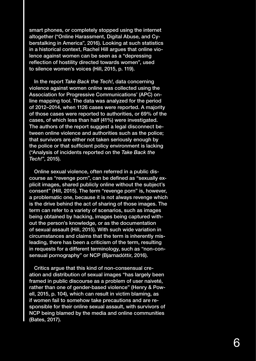smart phones, or completely stopped using the internet altogether ("Online Harassment, Digital Abuse, and Cyberstalking in America", 2016). Looking at such statistics in a historical context, Rachel Hill argues that online violence against women can be seen as a "depressing reflection of hostility directed towards women", used to silence women's voices (Hill, 2015, p. 119).

In the report *Take Back the Tech!*, data concerning violence against women online was collected using the Association for Progressive Communications' (APC) online mapping tool. The data was analyzed for the period of 2012–2014, when 1126 cases were reported. A majority of those cases were reported to authorities, or 69% of the cases, of which less than half (41%) were investigated. The authors of the report suggest a legal disconnect between online violence and authorities such as the police; that survivors are either not taken seriously enough by the police or that sufficient policy environment is lacking ("Analysis of incidents reported on the *Take Back the Tech!*", 2015).

Online sexual violence, often referred in a public discourse as "revenge porn", can be defined as "sexually explicit images, shared publicly online without the subject's consent" (Hill, 2015). The term "revenge porn" is, however, a problematic one, because it is not always revenge which is the drive behind the act of sharing of those images. The term can refer to a variety of scenarios, such as images being obtained by hacking, images being captured without the person's knowledge, or as the documentation of sexual assault (Hill, 2015). With such wide variation in circumstances and claims that the term is inherently misleading, there has been a criticism of the term, resulting in requests for a different terminology, such as "non-consensual pornography" or NCP (Bjarnadóttir, 2016).

Critics argue that this kind of non-consensual creation and distribution of sexual images "has largely been framed in public discourse as a problem of user naiveté, rather than one of gender-based violence" (Henry & Powell, 2015, p. 104), which can result in victim blaming, as if women fail to somehow take precautions and are responsible for their online sexual assault, with survivors of NCP being blamed by the media and online communities (Bates, 2017).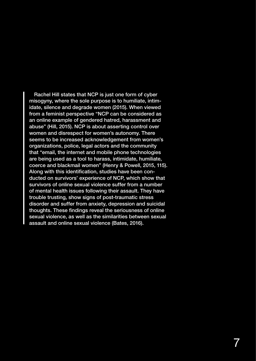Rachel Hill states that NCP is just one form of cyber misogyny, where the sole purpose is to humiliate, intimidate, silence and degrade women (2015). When viewed from a feminist perspective "NCP can be considered as an online example of gendered hatred, harassment and abuse" (Hill, 2015). NCP is about asserting control over women and disrespect for women's autonomy. There seems to be increased acknowledgement from women's organizations, police, legal actors and the community that "email, the internet and mobile phone technologies are being used as a tool to harass, intimidate, humiliate, coerce and blackmail women" (Henry & Powell, 2015, 115). Along with this identification, studies have been conducted on survivors' experience of NCP, which show that survivors of online sexual violence suffer from a number of mental health issues following their assault. They have trouble trusting, show signs of post-traumatic stress disorder and suffer from anxiety, depression and suicidal thoughts. These findings reveal the seriousness of online sexual violence, as well as the similarities between sexual assault and online sexual violence (Bates, 2016).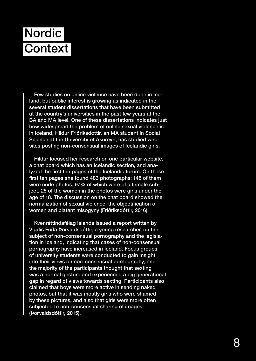# Nordic **Context**

Few studies on online violence have been done in Iceland, but public interest is growing as indicated in the several student dissertations that have been submitted at the country's universities in the past few years at the BA and MA level. One of these dissertations indicates just how widespread the problem of online sexual violence is in Iceland, Hildur Friðriksdóttir, an MA student in Social Science at the University of Akureyri, has studied websites posting non-consensual images of Icelandic girls.

Hildur focused her research on one particular website, a chat board which has an Icelandic section, and analyzed the first ten pages of the Icelandic forum. On these first ten pages she found 483 photographs: 148 of them were nude photos, 97% of which were of a female subject. 25 of the women in the photos were girls under the age of 18. The discussion on the chat board showed the normalization of sexual violence, the objectification of women and blatant misogyny (Friðriksdóttir, 2016).

Kvenréttindafélag Íslands issued a report written by Vigdís Fríða Þorvaldsdóttir, a young researcher, on the subject of non-consensual pornography and the legislation in Iceland, indicating that cases of non-consensual pornography have increased in Iceland. Focus groups of university students were conducted to gain insight into their views on non-consensual pornography, and the majority of the participants thought that sexting was a normal gesture and experienced a big generational gap in regard of views towards sexting. Participants also claimed that boys were more active in sending naked photos, but that it was mostly girls who were shamed by these pictures, and also that girls were more often subjected to non-consensual sharing of images (Þorvaldsdóttir, 2015).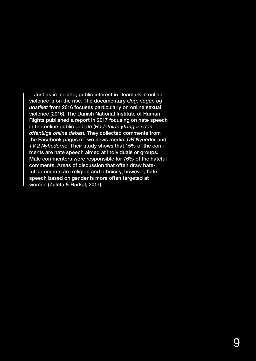Just as in Iceland, public interest in Denmark in online violence is on the rise. The documentary *Ung, nøgen og udstillet* from 2016 focuses particularly on online sexual violence (2016). The Danish National Institute of Human Rights published a report in 2017 focusing on hate speech in the online public debate (*Hadefulde ytringer i den offentlige online debat*). They collected comments from the Facebook pages of two news media, *DR Nyheder* and *TV 2 Nyhederne*. Their study shows that 15% of the comments are hate speech aimed at individuals or groups. Male commenters were responsible for 76% of the hateful comments. Areas of discussion that often draw hateful comments are religion and ethnicity, however, hate speech based on gender is more often targeted at women (Zuleta & Burkal, 2017).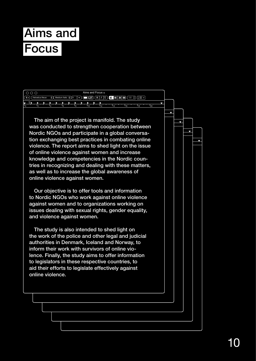# Aims and **Focus**

|     | $\overline{C}$ |                          | Aims and Focus $\sim$ |                |  |               |                   |                |                |       |  |              |                      |    |  |    |  |    |  |
|-----|----------------|--------------------------|-----------------------|----------------|--|---------------|-------------------|----------------|----------------|-------|--|--------------|----------------------|----|--|----|--|----|--|
| In  |                | <b>Helvetica Neue</b>    |                       | $\circ$        |  | Medium Italic | $\frac{1}{2}$   9 |                | $\sim$ 1<br>Ir | 11 zi |  | $\mathbf{B}$ | <b>7 만 ) 등 등 등 !</b> |    |  |    |  |    |  |
| lw. |                |                          |                       | ь              |  | ь             | ь                 | ь              |                |       |  |              |                      |    |  |    |  |    |  |
| Πο  |                | $\overline{\phantom{a}}$ |                       | $\overline{A}$ |  | 16.           |                   | $\overline{R}$ |                | 10    |  | 112          | 14                   | 16 |  | 18 |  | 20 |  |

Nordic NGOs and participate in a global conversaviolence. The report aims to shed light on the issue  $\begin{array}{|c|c|} \hline \quad{} & \quad{} \end{array}$ was conducted to strengthen cooperation between The aim of the project is manifold. The study tion exchanging best practices in combating online of online violence against women and increase knowledge and competencies in the Nordic countries in recognizing and dealing with these matters, as well as to increase the global awareness of online violence against women.

Our objective is to offer tools and information to Nordic NGOs who work against online violence against women and to organizations working on issues dealing with sexual rights, gender equality, and violence against women.

The study is also intended to shed light on the work of the police and other legal and judicial authorities in Denmark, Iceland and Norway, to inform their work with survivors of online violence. Finally, the study aims to offer information to legislators in these respective countries, to aid their efforts to legislate effectively against online violence.

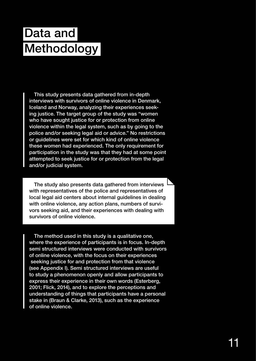## Data and **Methodology**

This study presents data gathered from in-depth interviews with survivors of online violence in Denmark, Iceland and Norway, analyzing their experiences seeking justice. The target group of the study was "women who have sought justice for or protection from online violence within the legal system, such as by going to the police and/or seeking legal aid or advice." No restrictions or guidelines were set for which kind of online violence these women had experienced. The only requirement for participation in the study was that they had at some point attempted to seek justice for or protection from the legal and/or judicial system.

The study also presents data gathered from interviews with representatives of the police and representatives of local legal aid centers about internal guidelines in dealing with online violence, any action plans, numbers of survivors seeking aid, and their experiences with dealing with survivors of online violence.

The method used in this study is a qualitative one, where the experience of participants is in focus. In-depth semi structured interviews were conducted with survivors of online violence, with the focus on their experiences seeking justice for and protection from that violence (see Appendix I). Semi structured interviews are useful to study a phenomenon openly and allow participants to express their experience in their own words (Esterberg, 2001; Flick, 2014), and to explore the perceptions and understanding of things that participants have a personal stake in (Braun & Clarke, 2013), such as the experience of online violence.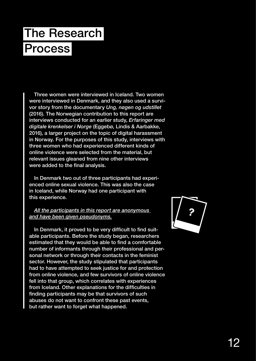# The Research Process

Three women were interviewed in Iceland. Two women were interviewed in Denmark, and they also used a survivor story from the documentary *Ung, nøgen og udstillet*  (2016). The Norwegian contribution to this report are interviews conducted for an earlier study, *Erfaringer med digitale krenkelser i Norge* (Eggebø, Lindis & Aarbakke, 2016), a larger project on the topic of digital harassment in Norway. For the purposes of this study, interviews with three women who had experienced different kinds of online violence were selected from the material, but relevant issues gleaned from nine other interviews were added to the final analysis.

In Denmark two out of three participants had experienced online sexual violence. This was also the case in Iceland, while Norway had one participant with this experience.

#### *All the participants in this report are anonymous and have been given pseudonyms.*

In Denmark, it proved to be very difficult to find suitable participants. Before the study began, researchers estimated that they would be able to find a comfortable number of informants through their professional and personal network or through their contacts in the feminist sector. However, the study stipulated that participants had to have attempted to seek justice for and protection from online violence, and few survivors of online violence fell into that group, which correlates with experiences from Iceland. Other explanations for the difficulties in finding participants may be that survivors of such abuses do not want to confront these past events, but rather want to forget what happened.

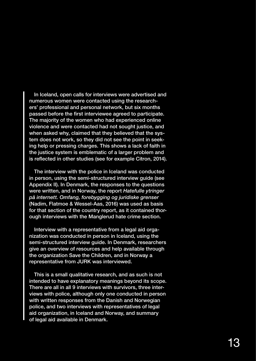In Iceland, open calls for interviews were advertised and numerous women were contacted using the researchers' professional and personal network, but six months passed before the first interviewee agreed to participate. The majority of the women who had experienced online violence and were contacted had not sought justice, and when asked why, claimed that they believed that the system does not work, so they did not see the point in seeking help or pressing charges. This shows a lack of faith in the justice system is emblematic of a larger problem and is reflected in other studies (see for example Citron, 2014).

The interview with the police in Iceland was conducted in person, using the semi-structured interview guide (see Appendix II). In Denmark, the responses to the questions were written, and in Norway, the report *Hatefulle ytringer på internett. Omfang, forebygging og juridiske grenser*  (Nadim, Flatmoe & Wessel-Aas, 2016) was used as basis for that section of the country report, as it contained thorough interviews with the Manglerud hate crime section.

Interview with a representative from a legal aid organization was conducted in person in Iceland, using the semi-structured interview guide. In Denmark, researchers give an overview of resources and help available through the organization Save the Children, and in Norway a representative from JURK was interviewed.

This is a small qualitative research, and as such is not intended to have explanatory meanings beyond its scope. There are all in all 9 interviews with survivors, three interviews with police, although only one conducted in person with written responses from the Danish and Norwegian police, and two interviews with representatives of legal aid organization, in Iceland and Norway, and summary of legal aid available in Denmark.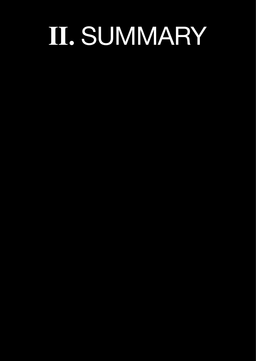# **Ⅱ.** SUMMARY

- 
- 
- -
	-
- 
-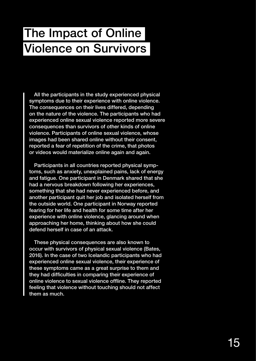### The Impact of Online Violence on Survivors

All the participants in the study experienced physical symptoms due to their experience with online violence. The consequences on their lives differed, depending on the nature of the violence. The participants who had experienced online sexual violence reported more severe consequences than survivors of other kinds of online violence. Participants of online sexual violence, whose images had been shared online without their consent, reported a fear of repetition of the crime, that photos or videos would materialize online again and again.

Participants in all countries reported physical symptoms, such as anxiety, unexplained pains, lack of energy and fatigue. One participant in Denmark shared that she had a nervous breakdown following her experiences, something that she had never experienced before, and another participant quit her job and isolated herself from the outside world. One participant in Norway reported fearing for her life and health for some time after her experience with online violence, glancing around when approaching her home, thinking about how she could defend herself in case of an attack.

These physical consequences are also known to occur with survivors of physical sexual violence (Bates, 2016). In the case of two Icelandic participants who had experienced online sexual violence, their experience of these symptoms came as a great surprise to them and they had difficulties in comparing their experience of online violence to sexual violence offline. They reported feeling that violence without touching should not affect them as much.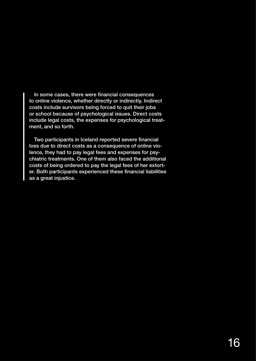In some cases, there were financial consequences to online violence, whether directly or indirectly. Indirect costs include survivors being forced to quit their jobs or school because of psychological issues. Direct costs include legal costs, the expenses for psychological treatment, and so forth.

Two participants in Iceland reported severe financial loss due to direct costs as a consequence of online violence, they had to pay legal fees and expenses for psychiatric treatments. One of them also faced the additional costs of being ordered to pay the legal fees of her extorter. Both participants experienced these financial liabilities as a great injustice.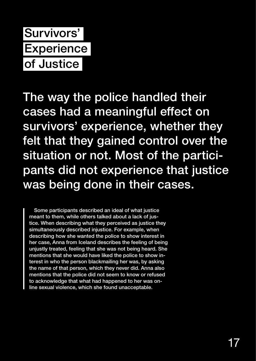### Survivors' **Experience** of Justice

The way the police handled their cases had a meaningful effect on survivors' experience, whether they felt that they gained control over the situation or not. Most of the participants did not experience that justice was being done in their cases.

Some participants described an ideal of what justice meant to them, while others talked about a lack of justice. When describing what they perceived as justice they simultaneously described injustice. For example, when describing how she wanted the police to show interest in her case, Anna from Iceland describes the feeling of being unjustly treated, feeling that she was not being heard. She mentions that she would have liked the police to show interest in who the person blackmailing her was, by asking the name of that person, which they never did. Anna also mentions that the police did not seem to know or refused to acknowledge that what had happened to her was online sexual violence, which she found unacceptable.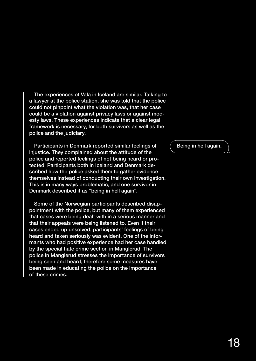The experiences of Vala in Iceland are similar. Talking to a lawyer at the police station, she was told that the police could not pinpoint what the violation was, that her case could be a violation against privacy laws or against modesty laws. These experiences indicate that a clear legal framework is necessary, for both survivors as well as the police and the judiciary.

Participants in Denmark reported similar feelings of injustice. They complained about the attitude of the police and reported feelings of not being heard or protected. Participants both in Iceland and Denmark described how the police asked them to gather evidence themselves instead of conducting their own investigation. This is in many ways problematic, and one survivor in Denmark described it as "being in hell again".

Some of the Norwegian participants described disappointment with the police, but many of them experienced that cases were being dealt with in a serious manner and that their appeals were being listened to. Even if their cases ended up unsolved, participants' feelings of being heard and taken seriously was evident. One of the informants who had positive experience had her case handled by the special hate crime section in Manglerud. The police in Manglerud stresses the importance of survivors being seen and heard, therefore some measures have been made in educating the police on the importance of these crimes.

Being in hell again.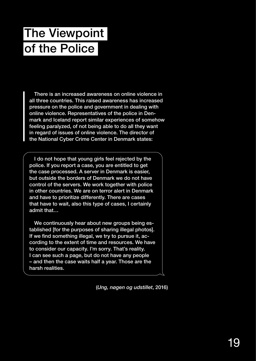## The Viewpoint of the Police

There is an increased awareness on online violence in all three countries. This raised awareness has increased pressure on the police and government in dealing with online violence. Representatives of the police in Denmark and Iceland report similar experiences of somehow feeling paralyzed, of not being able to do all they want in regard of issues of online violence. The director of the National Cyber Crime Center in Denmark states:

I do not hope that young girls feel rejected by the police. If you report a case, you are entitled to get the case processed. A server in Denmark is easier, but outside the borders of Denmark we do not have control of the servers. We work together with police in other countries. We are on terror alert in Denmark and have to prioritize differently. There are cases that have to wait, also this type of cases, I certainly admit that…

We continuously hear about new groups being established [for the purposes of sharing illegal photos]. If we find something illegal, we try to pursue it, according to the extent of time and resources. We have to consider our capacity. I'm sorry. That's reality. I can see such a page, but do not have any people – and then the case waits half a year. Those are the harsh realities.

(*Ung, nøgen og udstillet*, 2016)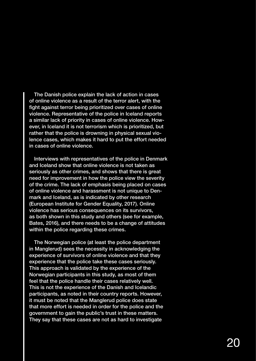The Danish police explain the lack of action in cases of online violence as a result of the terror alert, with the fight against terror being prioritized over cases of online violence. Representative of the police in Iceland reports a similar lack of priority in cases of online violence. However, in Iceland it is not terrorism which is prioritized, but rather that the police is drowning in physical sexual violence cases, which makes it hard to put the effort needed in cases of online violence.

Interviews with representatives of the police in Denmark and Iceland show that online violence is not taken as seriously as other crimes, and shows that there is great need for improvement in how the police view the severity of the crime. The lack of emphasis being placed on cases of online violence and harassment is not unique to Denmark and Iceland, as is indicated by other research (European Institute for Gender Equality, 2017). Online violence has serious consequences on its survivors, as both shown in this study and others (see for example, Bates, 2016), and there needs to be a change of attitudes within the police regarding these crimes.

The Norwegian police (at least the police department in Manglerud) sees the necessity in acknowledging the experience of survivors of online violence and that they experience that the police take these cases seriously. This approach is validated by the experience of the Norwegian participants in this study, as most of them feel that the police handle their cases relatively well. This is not the experience of the Danish and Icelandic participants, as noted in their country reports. However, it must be noted that the Manglerud police does state that more effort is needed in order for the police and the government to gain the public's trust in these matters. They say that these cases are not as hard to investigate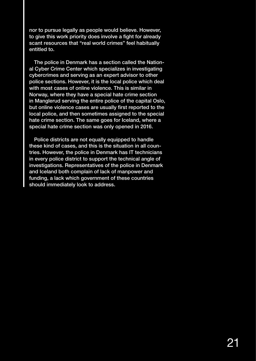nor to pursue legally as people would believe. However, to give this work priority does involve a fight for already scant resources that "real world crimes" feel habitually entitled to.

The police in Denmark has a section called the National Cyber Crime Center which specializes in investigating cybercrimes and serving as an expert advisor to other police sections. However, it is the local police which deal with most cases of online violence. This is similar in Norway, where they have a special hate crime section in Manglerud serving the entire police of the capital Oslo, but online violence cases are usually first reported to the local police, and then sometimes assigned to the special hate crime section. The same goes for Iceland, where a special hate crime section was only opened in 2016.

Police districts are not equally equipped to handle these kind of cases, and this is the situation in all countries. However, the police in Denmark has IT technicians in every police district to support the technical angle of investigations. Representatives of the police in Denmark and Iceland both complain of lack of manpower and funding, a lack which government of these countries should immediately look to address.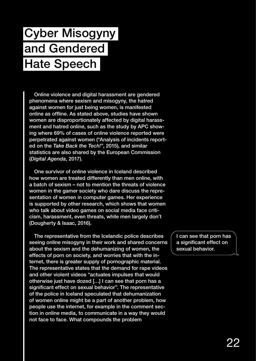# Cyber Misogyny and Gendered Hate Speech

Online violence and digital harassment are gendered phenomena where sexism and misogyny, the hatred against women for just being women, is manifested online as offline. As stated above, studies have shown women are disproportionately affected by digital harassment and hatred online, such as the study by APC showing where 69% of cases of online violence reported were perpetrated against women ("Analysis of incidents reported on the *Take Back the Tech!*", 2015), and similar statistics are also shared by the European Commission (*Digital Agenda*, 2017).

One survivor of online violence in Iceland described how women are treated differently than men online, with a batch of sexism – not to mention the threats of violence women in the gamer society who dare discuss the representation of women in computer games. Her experience is supported by other research, which shows that women who talk about video games on social media face criticism, harassment, even threats, while men largely don't (Dougherty & Isaac, 2016).

The representative from the Icelandic police describes seeing online misogyny in their work and shared concerns about the sexism and the dehumanizing of women, the effects of porn on society, and worries that with the internet, there is greater supply of pornographic material. The representative states that the demand for rape videos and other violent videos "actuates impulses that would otherwise just have dozed […] I can see that porn has a significant effect on sexual behavior". The representative of the police in Iceland speculated that dehumanization of women online might be a part of another problem, how people use the internet, for example in the comment section in online media, to communicate in a way they would not face to face. What compounds the problem

I can see that porn has a significant effect on sexual behavior.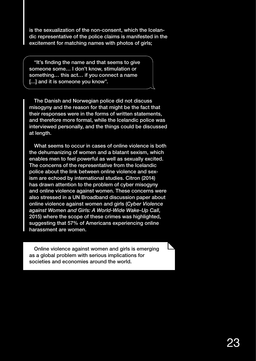is the sexualization of the non-consent, which the Icelandic representative of the police claims is manifested in the excitement for matching names with photos of girls;

"It's finding the name and that seems to give someone some… I don't know, stimulation or something… this act… if you connect a name [...] and it is someone you know".

The Danish and Norwegian police did not discuss misogyny and the reason for that might be the fact that their responses were in the forms of written statements, and therefore more formal, while the Icelandic police was interviewed personally, and the things could be discussed at length.

What seems to occur in cases of online violence is both the dehumanizing of women and a blatant sexism, which enables men to feel powerful as well as sexually excited. The concerns of the representative from the Icelandic police about the link between online violence and sexism are echoed by international studies. Citron (2014) has drawn attention to the problem of cyber misogyny and online violence against women. These concerns were also stressed in a UN Broadband discussion paper about online violence against women and girls (*Cyber Violence against Women and Girls: A World-Wide Wake-Up Call*, 2015) where the scope of these crimes was highlighted, suggesting that 57% of Americans experiencing online harassment are women.

Online violence against women and girls is emerging as a global problem with serious implications for societies and economies around the world.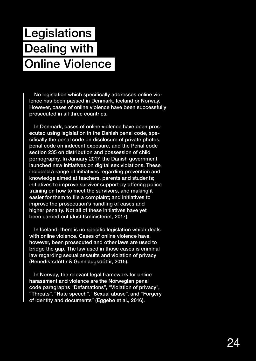# **Legislations** Dealing with Online Violence

No legislation which specifically addresses online violence has been passed in Denmark, Iceland or Norway. However, cases of online violence have been successfully prosecuted in all three countries.

In Denmark, cases of online violence have been prosecuted using legislation in the Danish penal code, specifically the penal code on disclosure of private photos, penal code on indecent exposure, and the Penal code section 235 on distribution and possession of child pornography. In January 2017, the Danish government launched new initiatives on digital sex violations. These included a range of initiatives regarding prevention and knowledge aimed at teachers, parents and students; initiatives to improve survivor support by offering police training on how to meet the survivors, and making it easier for them to file a complaint; and initiatives to improve the prosecution's handling of cases and higher penalty. Not all of these initiatives have yet been carried out (Justitsministeriet, 2017).

In Iceland, there is no specific legislation which deals with online violence. Cases of online violence have, however, been prosecuted and other laws are used to bridge the gap. The law used in those cases is criminal law regarding sexual assaults and violation of privacy (Benediktsdóttir & Gunnlaugsdóttir, 2015).

In Norway, the relevant legal framework for online harassment and violence are the Norwegian penal code paragraphs "Defamations", "Violation of privacy", "Threats", "Hate speech", "Sexual abuse", and "Forgery of identity and documents" (Eggebø et al., 2016).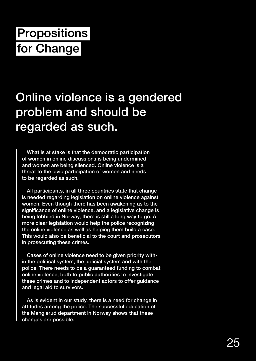# **Propositions** for Change

### Online violence is a gendered problem and should be regarded as such.

What is at stake is that the democratic participation of women in online discussions is being undermined and women are being silenced. Online violence is a threat to the civic participation of women and needs to be regarded as such.

All participants, in all three countries state that change is needed regarding legislation on online violence against women. Even though there has been awakening as to the significance of online violence, and a legislative change is being lobbied in Norway, there is still a long way to go. A more clear legislation would help the police recognizing the online violence as well as helping them build a case. This would also be beneficial to the court and prosecutors in prosecuting these crimes.

Cases of online violence need to be given priority within the political system, the judicial system and with the police. There needs to be a guaranteed funding to combat online violence, both to public authorities to investigate these crimes and to independent actors to offer guidance and legal aid to survivors.

As is evident in our study, there is a need for change in attitudes among the police. The successful education of the Manglerud department in Norway shows that these changes are possible.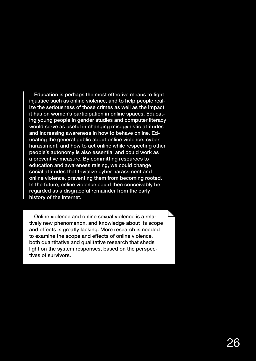Education is perhaps the most effective means to fight injustice such as online violence, and to help people realize the seriousness of those crimes as well as the impact it has on women's participation in online spaces. Educating young people in gender studies and computer literacy would serve as useful in changing misogynistic attitudes and increasing awareness in how to behave online. Educating the general public about online violence, cyber harassment, and how to act online while respecting other people's autonomy is also essential and could work as a preventive measure. By committing resources to education and awareness raising, we could change social attitudes that trivialize cyber harassment and online violence, preventing them from becoming rooted. In the future, online violence could then conceivably be regarded as a disgraceful remainder from the early history of the internet.

Online violence and online sexual violence is a relatively new phenomenon, and knowledge about its scope and effects is greatly lacking. More research is needed to examine the scope and effects of online violence, both quantitative and qualitative research that sheds light on the system responses, based on the perspectives of survivors.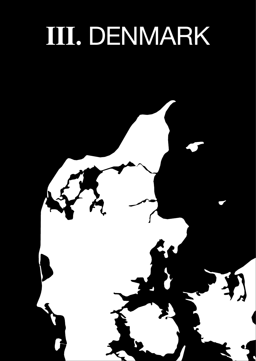# **Ⅲ.** DENMARK

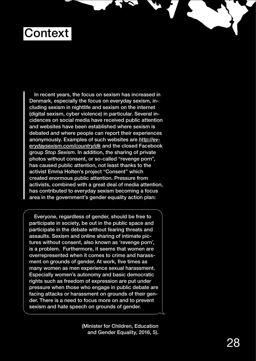### **Context**

In recent years, the focus on sexism has increased in Denmark, especially the focus on everyday sexism, including sexism in nightlife and sexism on the internet (digital sexism, cyber violence) in particular. Several incidences on social media have received public attention and websites have been established where sexism is debated and where people can report their experiences anonymously. Examples of such websites are *http://everydaysexism.com/country/dk* and the closed Facebook group *Stop Sexism*. In addition, the sharing of private photos without consent, or so-called "revenge porn", has caused public attention, not least thanks to the activist Emma Holten's project "Consent" which created enormous public attention. Pressure from activists, combined with a great deal of media attention, has contributed to everyday sexism becoming a focus area in the government's gender equality action plan:

Everyone, regardless of gender, should be free to participate in society, be out in the public space and participate in the debate without fearing threats and assaults. Sexism and online sharing of intimate pictures without consent, also known as 'revenge porn', is a problem. Furthermore, it seems that women are overrepresented when it comes to crime and harassment on grounds of gender. At work, five times as many women as men experience sexual harassment. Especially women's autonomy and basic democratic rights such as freedom of expression are put under pressure when those who engage in public debate are facing attacks or harassment on grounds of their gender. There is a need to focus more on and to prevent sexism and hate speech on grounds of gender.

> (Minister for Children, Education and Gender Equality, 2016, 5).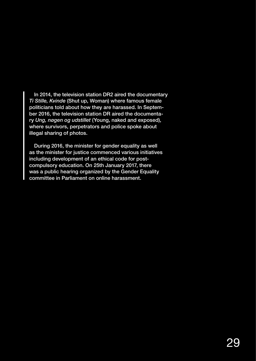In 2014, the television station DR2 aired the documentary *Ti Stille, Kvinde* (Shut up, Woman) where famous female politicians told about how they are harassed. In September 2016, the television station DR aired the documentary *Ung, nøgen og udstillet* (Young, naked and exposed), where survivors, perpetrators and police spoke about illegal sharing of photos.

During 2016, the minister for gender equality as well as the minister for justice commenced various initiatives including development of an ethical code for postcompulsory education. On 25th January 2017, there was a public hearing organized by the Gender Equality committee in Parliament on online harassment.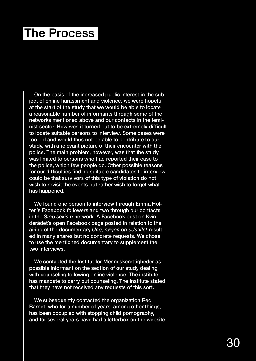### The Process

On the basis of the increased public interest in the subject of online harassment and violence, we were hopeful at the start of the study that we would be able to locate a reasonable number of informants through some of the networks mentioned above and our contacts in the feminist sector. However, it turned out to be extremely difficult to locate suitable persons to interview. Some cases were too old and would thus not be able to contribute to our study, with a relevant picture of their encounter with the police. The main problem, however, was that the study was limited to persons who had reported their case to the police, which few people do. Other possible reasons for our difficulties finding suitable candidates to interview could be that survivors of this type of violation do not wish to revisit the events but rather wish to forget what has happened.

We found one person to interview through Emma Holten's Facebook followers and two through our contacts in the *Stop sexism* network. A Facebook post on Kvinderådet's open Facebook page posted in relation to the airing of the documentary *Ung, nøgen og udstillet* resulted in many shares but no concrete requests. We chose to use the mentioned documentary to supplement the two interviews.

We contacted the Institut for Menneskerettigheder as possible informant on the section of our study dealing with counseling following online violence. The institute has mandate to carry out counseling. The Institute stated that they have not received any requests of this sort.

We subsequently contacted the organization Red Barnet, who for a number of years, among other things, has been occupied with stopping child pornography, and for several years have had a letterbox on the website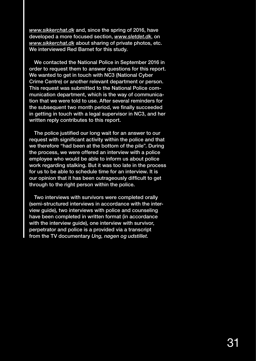*www.sikkerchat.dk* and, since the spring of 2016, have developed a more focused section, *www.sletdet.dk*, on *www.sikkerchat.dk* about sharing of private photos, etc. We interviewed Red Barnet for this study.

We contacted the National Police in September 2016 in order to request them to answer questions for this report. We wanted to get in touch with NC3 (National Cyber Crime Centre) or another relevant department or person. This request was submitted to the National Police communication department, which is the way of communication that we were told to use. After several reminders for the subsequent two month period, we finally succeeded in getting in touch with a legal supervisor in NC3, and her written reply contributes to this report.

The police justified our long wait for an answer to our request with significant activity within the police and that we therefore "had been at the bottom of the pile". During the process, we were offered an interview with a police employee who would be able to inform us about police work regarding stalking. But it was too late in the process for us to be able to schedule time for an interview. It is our opinion that it has been outrageously difficult to get through to the right person within the police.

Two interviews with survivors were completed orally (semi-structured interviews in accordance with the interview guide), two interviews with police and counseling have been completed in written format (in accordance with the interview guide), one interview with survivor, perpetrator and police is a provided via a transcript from the TV documentary *Ung, nøgen og udstillet.*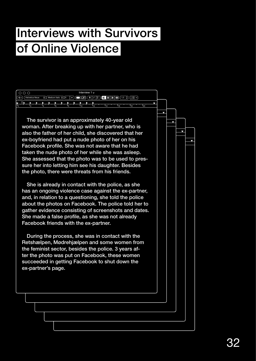#### Interviews with Survivors of Online Violence

|            | Interview<br>1 $\vee$ |    |   |                |   |                |      |                |    |     |  |     |           |   |    |    |    |  |
|------------|-----------------------|----|---|----------------|---|----------------|------|----------------|----|-----|--|-----|-----------|---|----|----|----|--|
| $\sqrt{1}$ |                       |    |   |                |   | Medium Italic  | 1l 9 | $\checkmark$   |    | ær  |  | B   | 1 = 1 = 1 | − |    |    |    |  |
| l.         |                       |    | N | ı.             | N | N              | ь    | Þ              | 13 |     |  |     |           |   |    |    |    |  |
| П٥         |                       | I۰ |   | $\overline{A}$ |   | l <sub>6</sub> |      | $\overline{8}$ |    | 110 |  | 112 | 14        |   | 16 | 18 | 20 |  |

also the father of her child, she discovered that her  $\hskip1cm \Big| \qquad \Big|$ Facebook profile. She was not aware that he had **Frank 18** woman. After breaking up with her partner, who is The survivor is an approximately 40-year old ex-boyfriend had put a nude photo of her on his taken the nude photo of her while she was asleep. She assessed that the photo was to be used to pressure her into letting him see his daughter. Besides the photo, there were threats from his friends.

She is already in contact with the police, as she has an ongoing violence case against the ex-partner, and, in relation to a questioning, she told the police about the photos on Facebook. The police told her to gather evidence consisting of screenshots and dates. She made a false profile, as she was not already Facebook friends with the ex-partner.

During the process, she was in contact with the Retshælpen, Mødrehjælpen and some women from the feminist sector, besides the police. 3 years after the photo was put on Facebook, these women succeeded in getting Facebook to shut down the ex-partner's page.

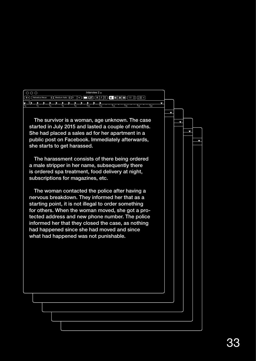| $\circ \circ \circ$<br>Interview $2 \times$                                                                                                                                                                                                                                                                                                                                                                                                                                                                                                         |   |  |  |
|-----------------------------------------------------------------------------------------------------------------------------------------------------------------------------------------------------------------------------------------------------------------------------------------------------------------------------------------------------------------------------------------------------------------------------------------------------------------------------------------------------------------------------------------------------|---|--|--|
| $\begin{array}{l} \hline \textcolor{red}{\textbf{[2]} \textbf{[3]} \textbf{[4]}} \textcolor{red}{\textbf{[3]}} \textcolor{red}{\textbf{[4]}} \textcolor{red}{\textbf{[5]}} \textcolor{red}{\textbf{[6]}} \textcolor{red}{\textbf{[6]}} \textcolor{red}{\textbf{[7]}} \textcolor{red}{\textbf{[6]}} \textcolor{red}{\textbf{[6]}} \textcolor{red}{\textbf{[6]}} \textcolor{red}{\textbf{[7]}} \textcolor{red}{\textbf{[8]}} \textcolor{red}{\textbf{[6]}} \textcolor{red}{\textbf{[6]}}$<br>$\circ$ Medium Italic $\circ$ 9 $\vee$<br>Helvetica Neue |   |  |  |
|                                                                                                                                                                                                                                                                                                                                                                                                                                                                                                                                                     |   |  |  |
|                                                                                                                                                                                                                                                                                                                                                                                                                                                                                                                                                     | Δ |  |  |
|                                                                                                                                                                                                                                                                                                                                                                                                                                                                                                                                                     |   |  |  |
| The survivor is a woman, age unknown. The case                                                                                                                                                                                                                                                                                                                                                                                                                                                                                                      |   |  |  |
| started in July 2015 and lasted a couple of months.                                                                                                                                                                                                                                                                                                                                                                                                                                                                                                 |   |  |  |
| She had placed a sales ad for her apartment in a                                                                                                                                                                                                                                                                                                                                                                                                                                                                                                    |   |  |  |
| public post on Facebook. Immediately afterwards,                                                                                                                                                                                                                                                                                                                                                                                                                                                                                                    |   |  |  |
| she starts to get harassed.                                                                                                                                                                                                                                                                                                                                                                                                                                                                                                                         |   |  |  |
|                                                                                                                                                                                                                                                                                                                                                                                                                                                                                                                                                     |   |  |  |
| The harassment consists of there being ordered                                                                                                                                                                                                                                                                                                                                                                                                                                                                                                      |   |  |  |
| a male stripper in her name, subsequently there                                                                                                                                                                                                                                                                                                                                                                                                                                                                                                     |   |  |  |
|                                                                                                                                                                                                                                                                                                                                                                                                                                                                                                                                                     |   |  |  |
| is ordered spa treatment, food delivery at night,                                                                                                                                                                                                                                                                                                                                                                                                                                                                                                   |   |  |  |
| subscriptions for magazines, etc.                                                                                                                                                                                                                                                                                                                                                                                                                                                                                                                   |   |  |  |
|                                                                                                                                                                                                                                                                                                                                                                                                                                                                                                                                                     |   |  |  |
| The woman contacted the police after having a                                                                                                                                                                                                                                                                                                                                                                                                                                                                                                       |   |  |  |
| nervous breakdown. They informed her that as a                                                                                                                                                                                                                                                                                                                                                                                                                                                                                                      |   |  |  |
| starting point, it is not illegal to order something                                                                                                                                                                                                                                                                                                                                                                                                                                                                                                |   |  |  |
| for others. When the woman moved, she got a pro-                                                                                                                                                                                                                                                                                                                                                                                                                                                                                                    |   |  |  |
| tected address and new phone number. The police                                                                                                                                                                                                                                                                                                                                                                                                                                                                                                     |   |  |  |
| informed her that they closed the case, as nothing                                                                                                                                                                                                                                                                                                                                                                                                                                                                                                  |   |  |  |
| had happened since she had moved and since                                                                                                                                                                                                                                                                                                                                                                                                                                                                                                          |   |  |  |
|                                                                                                                                                                                                                                                                                                                                                                                                                                                                                                                                                     |   |  |  |
| what had happened was not punishable.                                                                                                                                                                                                                                                                                                                                                                                                                                                                                                               |   |  |  |
|                                                                                                                                                                                                                                                                                                                                                                                                                                                                                                                                                     |   |  |  |
|                                                                                                                                                                                                                                                                                                                                                                                                                                                                                                                                                     |   |  |  |
|                                                                                                                                                                                                                                                                                                                                                                                                                                                                                                                                                     |   |  |  |
|                                                                                                                                                                                                                                                                                                                                                                                                                                                                                                                                                     |   |  |  |
|                                                                                                                                                                                                                                                                                                                                                                                                                                                                                                                                                     |   |  |  |
|                                                                                                                                                                                                                                                                                                                                                                                                                                                                                                                                                     |   |  |  |
|                                                                                                                                                                                                                                                                                                                                                                                                                                                                                                                                                     |   |  |  |
|                                                                                                                                                                                                                                                                                                                                                                                                                                                                                                                                                     |   |  |  |
|                                                                                                                                                                                                                                                                                                                                                                                                                                                                                                                                                     |   |  |  |
|                                                                                                                                                                                                                                                                                                                                                                                                                                                                                                                                                     |   |  |  |
|                                                                                                                                                                                                                                                                                                                                                                                                                                                                                                                                                     |   |  |  |
|                                                                                                                                                                                                                                                                                                                                                                                                                                                                                                                                                     |   |  |  |
|                                                                                                                                                                                                                                                                                                                                                                                                                                                                                                                                                     |   |  |  |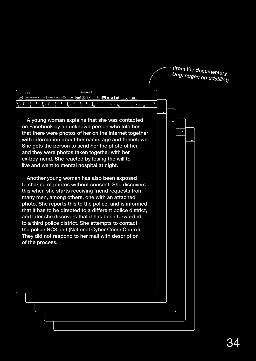(<sup>from</sup> the documentar<br>Unc *Ung, nøgen og udstillet)* 

| $\circ\circ\circ$<br>Helvetica Neue<br>≎ ‼ | Interview $3 \times$<br>OØFILEEI<br>$1,0$ $\Diamond$ $\Box$ $\Box$ $\Diamond$<br>Medium Italic $\Diamond$   9<br>$\checkmark$                                                                                                                                                                                                                                                                                                                                                                                                                                                                                                                                                                                                                                                                                                                                                                                                                                                   |  |  |
|--------------------------------------------|---------------------------------------------------------------------------------------------------------------------------------------------------------------------------------------------------------------------------------------------------------------------------------------------------------------------------------------------------------------------------------------------------------------------------------------------------------------------------------------------------------------------------------------------------------------------------------------------------------------------------------------------------------------------------------------------------------------------------------------------------------------------------------------------------------------------------------------------------------------------------------------------------------------------------------------------------------------------------------|--|--|
|                                            |                                                                                                                                                                                                                                                                                                                                                                                                                                                                                                                                                                                                                                                                                                                                                                                                                                                                                                                                                                                 |  |  |
|                                            |                                                                                                                                                                                                                                                                                                                                                                                                                                                                                                                                                                                                                                                                                                                                                                                                                                                                                                                                                                                 |  |  |
| of the process.                            | A young woman explains that she was contacted<br>on Facebook by an unknown person who told her<br>that there were photos of her on the internet together<br>with information about her name, age and hometown.<br>She gets the person to send her the photo of her,<br>and they were photos taken together with her<br>ex-boyfriend. She reacted by losing the will to<br>live and went to mental hospital at night.<br>Another young woman has also been exposed<br>to sharing of photos without consent. She discovers<br>this when she starts receiving friend requests from<br>many men, among others, one with an attached<br>photo. She reports this to the police, and is informed<br>that it has to be directed to a different police district,<br>and later she discovers that it has been forwarded<br>to a third police district. She attempts to contact<br>the police NC3 unit (National Cyber Crime Centre).<br>They did not respond to her mail with description |  |  |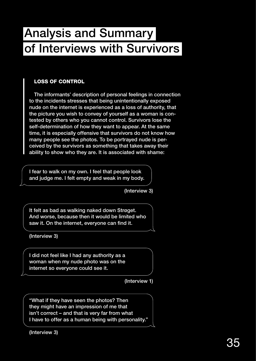#### Analysis and Summary of Interviews with Survivors

#### LOSS OF CONTROL

The informants' description of personal feelings in connection to the incidents stresses that being unintentionally exposed nude on the internet is experienced as a loss of authority, that the picture you wish to convey of yourself as a woman is contested by others who you cannot control. Survivors lose the self-determination of how they want to appear. At the same time, it is especially offensive that survivors do not know how many people see the photos. To be portrayed nude is perceived by the survivors as something that takes away their ability to show who they are. It is associated with shame:

I fear to walk on my own. I feel that people look and judge me. I felt empty and weak in my body.

(Interview 3)

It felt as bad as walking naked down Strøget. And worse, because then it would be limited who saw it. On the internet, everyone can find it.

(Interview 3)

I did not feel like I had any authority as a woman when my nude photo was on the internet so everyone could see it.

(Interview 1)

"What if they have seen the photos? Then they might have an impression of me that isn't correct – and that is very far from what I have to offer as a human being with personality."

(Interview 3)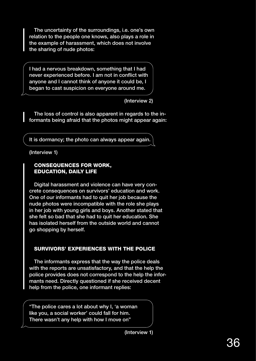The uncertainty of the surroundings, i.e. one's own relation to the people one knows, also plays a role in the example of harassment, which does not involve the sharing of nude photos:

I had a nervous breakdown, something that I had never experienced before. I am not in conflict with anyone and I cannot think of anyone it could be, I began to cast suspicion on everyone around me.

(Interview 2)

The loss of control is also apparent in regards to the informants being afraid that the photos might appear again:

It is dormancy; the photo can always appear again.

(Interview 1)

#### CONSEQUENCES FOR WORK, EDUCATION, DAILY LIFE

Digital harassment and violence can have very concrete consequences on survivors' education and work. One of our informants had to quit her job because the nude photos were incompatible with the role she plays in her job with young girls and boys. Another stated that she felt so bad that she had to quit her education. She has isolated herself from the outside world and cannot go shopping by herself.

#### SURVIVORS' EXPERIENCES WITH THE POLICE

The informants express that the way the police deals with the reports are unsatisfactory, and that the help the police provides does not correspond to the help the informants need. Directly questioned if she received decent help from the police, one informant replies:

"The police cares a lot about why I, 'a woman like you, a social worker' could fall for him. There wasn't any help with how I move on"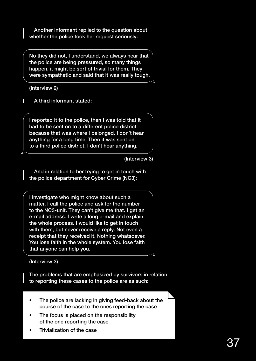Another informant replied to the question about whether the police took her request seriously:

No they did not, I understand, we always hear that the police are being pressured, so many things happen, it might be sort of trivial for them. They were sympathetic and said that it was really tough.

(Interview 2)

П A third informant stated:

I reported it to the police, then I was told that it had to be sent on to a different police district because that was where I belonged. I don't hear anything for a long time. Then it was sent on to a third police district. I don't hear anything.

(Interview 3)

And in relation to her trying to get in touch with the police department for Cyber Crime (NC3):

I investigate who might know about such a matter. I call the police and ask for the number to the NC3-unit. They can't give me that. I get an e-mail address. I write a long e-mail and explain the whole process. I would like to get in touch with them, but never receive a reply. Not even a receipt that they received it. Nothing whatsoever. You lose faith in the whole system. You lose faith that anyone can help you.

(Interview 3)

The problems that are emphasized by survivors in relation to reporting these cases to the police are as such:

- The police are lacking in giving feed-back about the course of the case to the ones reporting the case
- The focus is placed on the responsibility of the one reporting the case
- Trivialization of the case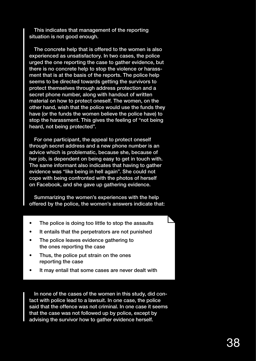This indicates that management of the reporting situation is not good enough.

The concrete help that is offered to the women is also experienced as unsatisfactory. In two cases, the police urged the one reporting the case to gather evidence, but there is no concrete help to stop the violence or harassment that is at the basis of the reports. The police help seems to be directed towards getting the survivors to protect themselves through address protection and a secret phone number, along with handout of written material on how to protect oneself. The women, on the other hand, wish that the police would use the funds they have (or the funds the women believe the police have) to stop the harassment. This gives the feeling of "not being heard, not being protected".

For one participant, the appeal to protect oneself through secret address and a new phone number is an advice which is problematic, because she, because of her job, is dependent on being easy to get in touch with. The same informant also indicates that having to gather evidence was "like being in hell again". She could not cope with being confronted with the photos of herself on Facebook, and she gave up gathering evidence.

Summarizing the women's experiences with the help offered by the police, the women's answers indicate that:

- The police is doing too little to stop the assaults
- It entails that the perpetrators are not punished
- The police leaves evidence gathering to the ones reporting the case
- Thus, the police put strain on the ones reporting the case
- It may entail that some cases are never dealt with

In none of the cases of the women in this study, did contact with police lead to a lawsuit. In one case, the police said that the offence was not criminal. In one case it seems that the case was not followed up by police, except by advising the survivor how to gather evidence herself.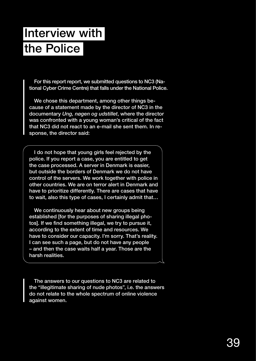# Interview with the Police

For this report report, we submitted questions to NC3 (National Cyber Crime Centre) that falls under the National Police.

We chose this department, among other things because of a statement made by the director of NC3 in the documentary *Ung, nøgen og udstillet*, where the director was confronted with a young woman's critical of the fact that NC3 did not react to an e-mail she sent them. In response, the director said:

I do not hope that young girls feel rejected by the police. If you report a case, you are entitled to get the case processed. A server in Denmark is easier, but outside the borders of Denmark we do not have control of the servers. We work together with police in other countries. We are on terror alert in Denmark and have to prioritize differently. There are cases that have to wait, also this type of cases, I certainly admit that…

We continuously hear about new groups being established [for the purposes of sharing illegal photos]. If we find something illegal, we try to pursue it, according to the extent of time and resources. We have to consider our capacity. I'm sorry. That's reality. I can see such a page, but do not have any people – and then the case waits half a year. Those are the harsh realities.

The answers to our questions to NC3 are related to the "illegitimate sharing of nude photos", i.e. the answers do not relate to the whole spectrum of online violence against women.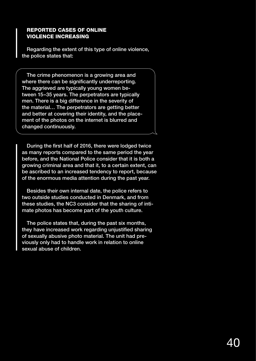#### REPORTED CASES OF ONLINE VIOLENCE INCREASING

Regarding the extent of this type of online violence, the police states that:

The crime phenomenon is a growing area and where there can be significantly underreporting. The aggrieved are typically young women between 15–35 years. The perpetrators are typically men. There is a big difference in the severity of the material… The perpetrators are getting better and better at covering their identity, and the placement of the photos on the internet is blurred and changed continuously.

During the first half of 2016, there were lodged twice as many reports compared to the same period the year before, and the National Police consider that it is both a growing criminal area and that it, to a certain extent, can be ascribed to an increased tendency to report, because of the enormous media attention during the past year.

Besides their own internal date, the police refers to two outside studies conducted in Denmark, and from these studies, the NC3 consider that the sharing of intimate photos has become part of the youth culture.

The police states that, during the past six months, they have increased work regarding unjustified sharing of sexually abusive photo material. The unit had previously only had to handle work in relation to online sexual abuse of children.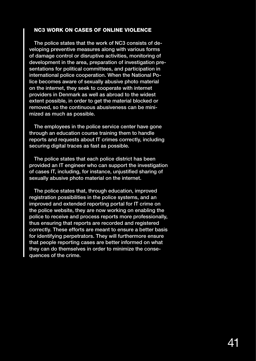#### NC3 WORK ON CASES OF ONLINE VIOLENCE

The police states that the work of NC3 consists of developing preventive measures along with various forms of damage control or disruptive activities, monitoring of development in the area, preparation of investigation presentations for political committees, and participation in international police cooperation. When the National Police becomes aware of sexually abusive photo material on the internet, they seek to cooperate with internet providers in Denmark as well as abroad to the widest extent possible, in order to get the material blocked or removed, so the continuous abusiveness can be minimized as much as possible.

The employees in the police service center have gone through an education course training them to handle reports and requests about IT crimes correctly, including securing digital traces as fast as possible.

The police states that each police district has been provided an IT engineer who can support the investigation of cases IT, including, for instance, unjustified sharing of sexually abusive photo material on the internet.

The police states that, through education, improved registration possibilities in the police systems, and an improved and extended reporting portal for IT crime on the police website, they are now working on enabling the police to receive and process reports more professionally, thus ensuring that reports are recorded and registered correctly. These efforts are meant to ensure a better basis for identifying perpetrators. They will furthermore ensure that people reporting cases are better informed on what they can do themselves in order to minimize the consequences of the crime.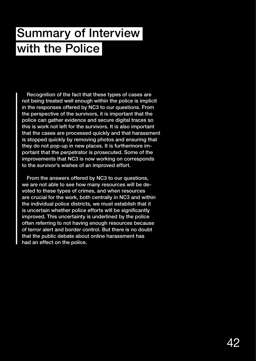## Summary of Interview with the Police

Recognition of the fact that these types of cases are not being treated well enough within the police is implicit in the responses offered by NC3 to our questions. From the perspective of the survivors, it is important that the police can gather evidence and secure digital traces so this is work not left for the survivors. It is also important that the cases are processed quickly and that harassment is stopped quickly by removing photos and ensuring that they do not pop-up in new places. It is furthermore important that the perpetrator is prosecuted. Some of the improvements that NC3 is now working on corresponds to the survivor's wishes of an improved effort.

From the answers offered by NC3 to our questions, we are not able to see how many resources will be devoted to these types of crimes, and when resources are crucial for the work, both centrally in NC3 and within the individual police districts, we must establish that it is uncertain whether police efforts will be significantly improved. This uncertainty is underlined by the police often referring to not having enough resources because of terror alert and border control. But there is no doubt that the public debate about online harassment has had an effect on the police.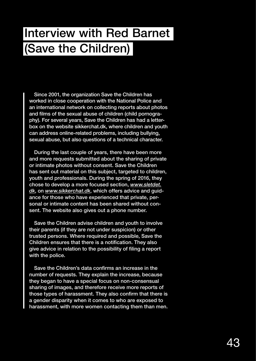### Interview with Red Barnet (Save the Children)

Since 2001, the organization Save the Children has worked in close cooperation with the National Police and an international network on collecting reports about photos and films of the sexual abuse of children (child pornography). For several years, Save the Children has had a letterbox on the website sikkerchat.dk, where children and youth can address online-related problems, including bullying, sexual abuse, but also questions of a technical character.

During the last couple of years, there have been more and more requests submitted about the sharing of private or intimate photos without consent. Save the Children has sent out material on this subject, targeted to children, youth and professionals. During the spring of 2016, they chose to develop a more focused section, *www.sletdet. dk*, on *www.sikkerchat.dk*, which offers advice and guidance for those who have experienced that private, personal or intimate content has been shared without consent. The website also gives out a phone number.

Save the Children advise children and youth to involve their parents (if they are not under suspicion) or other trusted persons. Where required and possible, Save the Children ensures that there is a notification. They also give advice in relation to the possibility of filing a report with the police.

Save the Children's data confirms an increase in the number of requests. They explain the increase, because they began to have a special focus on non-consensual sharing of images, and therefore receive more reports of those types of harassment. They also confirm that there is a gender disparity when it comes to who are exposed to harassment, with more women contacting them than men.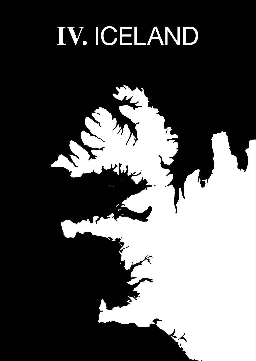# **Ⅳ.** ICELAND

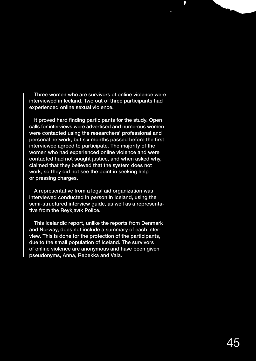Three women who are survivors of online violence were interviewed in Iceland. Two out of three participants had experienced online sexual violence.

Ū

It proved hard finding participants for the study. Open calls for interviews were advertised and numerous women were contacted using the researchers' professional and personal network, but six months passed before the first interviewee agreed to participate. The majority of the women who had experienced online violence and were contacted had not sought justice, and when asked why, claimed that they believed that the system does not work, so they did not see the point in seeking help or pressing charges.

A representative from a legal aid organization was interviewed conducted in person in Iceland, using the semi-structured interview guide, as well as a representative from the Reykjavík Police.

This Icelandic report, unlike the reports from Denmark and Norway, does not include a summary of each interview. This is done for the protection of the participants, due to the small population of Iceland. The survivors of online violence are anonymous and have been given pseudonyms, Anna, Rebekka and Vala.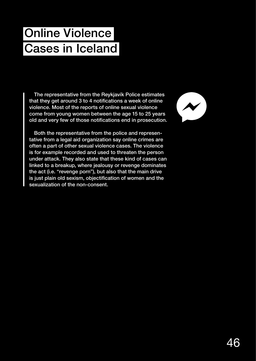# Online Violence Cases in Iceland

The representative from the Reykjavík Police estimates that they get around 3 to 4 notifications a week of online violence. Most of the reports of online sexual violence come from young women between the age 15 to 25 years old and very few of those notifications end in prosecution.

Both the representative from the police and representative from a legal aid organization say online crimes are often a part of other sexual violence cases. The violence is for example recorded and used to threaten the person under attack. They also state that these kind of cases can linked to a breakup, where jealousy or revenge dominates the act (i.e. "revenge porn"), but also that the main drive is just plain old sexism, objectification of women and the sexualization of the non-consent.

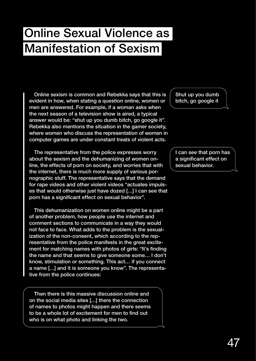### Online Sexual Violence as Manifestation of Sexism

Online sexism is common and Rebekka says that this is evident in how, when stating a question online, women or men are answered. For example, if a woman asks when the next season of a television show is aired, a typical answer would be: "shut up you dumb bitch, go google it". Rebekka also mentions the situation in the gamer society, where women who discuss the representation of women in computer games are under constant treats of violent acts.

The representative from the police expresses worry about the sexism and the dehumanizing of women online, the effects of porn on society, and worries that with the internet, there is much more supply of various pornographic stuff. The representative says that the demand for rape videos and other violent videos "actuates impulses that would otherwise just have dozed […] I can see that porn has a significant effect on sexual behavior".

This dehumanization on women online might be a part of another problem, how people use the internet and comment sections to communicate in a way they would not face to face. What adds to the problem is the sexualization of the non-consent, which according to the representative from the police manifests in the great excitement for matching names with photos of girls: "It's finding the name and that seems to give someone some… I don't know, stimulation or something. This act… if you connect a name […] and it is someone you know". The representative from the police continues:

Then there is this massive discussion online and on the social media sites […] there the connection of names to photos might happen and there seems to be a whole lot of excitement for men to find out who is on what photo and linking the two.

Shut up you dumb bitch, go google it

I can see that porn has a significant effect on sexual behavior.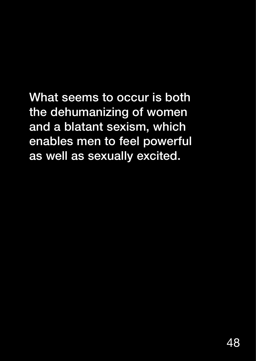What seems to occur is both the dehumanizing of women and a blatant sexism, which enables men to feel powerful as well as sexually excited.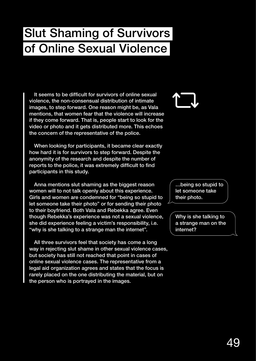### Slut Shaming of Survivors of Online Sexual Violence

It seems to be difficult for survivors of online sexual violence, the non-consensual distribution of intimate images, to step forward. One reason might be, as Vala mentions, that women fear that the violence will increase if they come forward. That is, people start to look for the video or photo and it gets distributed more. This echoes the concern of the representative of the police.

When looking for participants, it became clear exactly how hard it is for survivors to step forward. Despite the anonymity of the research and despite the number of reports to the police, it was extremely difficult to find participants in this study.

Anna mentions slut shaming as the biggest reason women will to not talk openly about this experience. Girls and women are condemned for "being so stupid to let someone take their photo" or for sending their photo to their boyfriend. Both Vala and Rebekka agree. Even though Rebekka's experience was not a sexual violence, she did experience feeling a victim's responsibility, i.e. "why is she talking to a strange man the internet".

All three survivors feel that society has come a long way in rejecting slut shame in other sexual violence cases, but society has still not reached that point in cases of online sexual violence cases. The representative from a legal aid organization agrees and states that the focus is rarely placed on the one distributing the material, but on the person who is portrayed in the images.

…being so stupid to let someone take their photo.

Why is she talking to a strange man on the internet?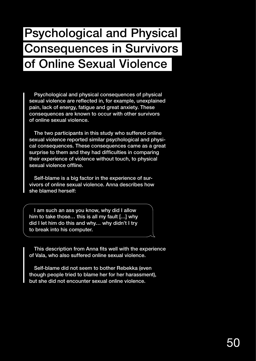### Psychological and Physical Consequences in Survivors of Online Sexual Violence

Psychological and physical consequences of physical sexual violence are reflected in, for example, unexplained pain, lack of energy, fatigue and great anxiety. These consequences are known to occur with other survivors of online sexual violence.

The two participants in this study who suffered online sexual violence reported similar psychological and physical consequences. These consequences came as a great surprise to them and they had difficulties in comparing their experience of violence without touch, to physical sexual violence offline.

Self-blame is a big factor in the experience of survivors of online sexual violence. Anna describes how she blamed herself:

I am such an ass you know, why did I allow him to take those… this is all my fault […] why did I let him do this and why… why didn't I try to break into his computer.

This description from Anna fits well with the experience of Vala, who also suffered online sexual violence.

Self-blame did not seem to bother Rebekka (even though people tried to blame her for her harassment), but she did not encounter sexual online violence.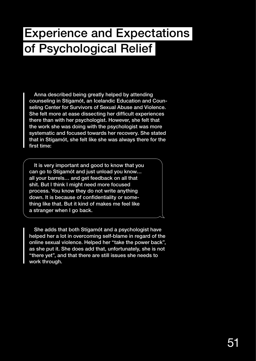#### Experience and Expectations of Psychological Relief

Anna described being greatly helped by attending counseling in Stígamót, an Icelandic Education and Counseling Center for Survivors of Sexual Abuse and Violence. She felt more at ease dissecting her difficult experiences there than with her psychologist. However, she felt that the work she was doing with the psychologist was more systematic and focused towards her recovery. She stated that in Stígamót, she felt like she was always there for the first time:

It is very important and good to know that you can go to Stígamót and just unload you know… all your barrels… and get feedback on all that shit. But I think I might need more focused process. You know they do not write anything down. It is because of confidentiality or something like that. But it kind of makes me feel like a stranger when I go back.

She adds that both Stígamót and a psychologist have helped her a lot in overcoming self-blame in regard of the online sexual violence. Helped her "take the power back", as she put it. She does add that, unfortunately, she is not "there yet", and that there are still issues she needs to work through.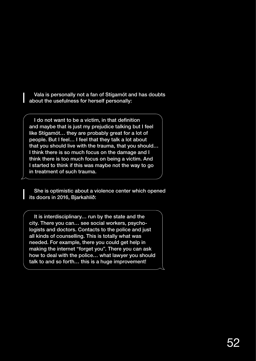Vala is personally not a fan of Stígamót and has doubts about the usefulness for herself personally:

I do not want to be a victim, in that definition and maybe that is just my prejudice talking but I feel like Stígamót… they are probably great for a lot of people. But I feel… I feel that they talk a lot about that you should live with the trauma, that you should… I think there is so much focus on the damage and I think there is too much focus on being a victim. And I started to think if this was maybe not the way to go in treatment of such trauma.

She is optimistic about a violence center which opened its doors in 2016, Bjarkahlíð:

It is interdisciplinary… run by the state and the city. There you can… see social workers, psychologists and doctors. Contacts to the police and just all kinds of counselling. This is totally what was needed. For example, there you could get help in making the internet "forget you". There you can ask how to deal with the police… what lawyer you should talk to and so forth… this is a huge improvement!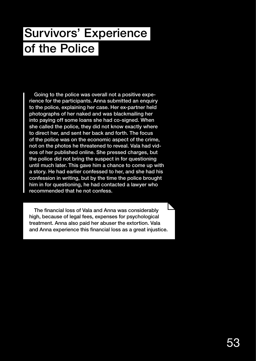## Survivors' Experience of the Police

Going to the police was overall not a positive experience for the participants. Anna submitted an enquiry to the police, explaining her case. Her ex-partner held photographs of her naked and was blackmailing her into paying off some loans she had co-signed. When she called the police, they did not know exactly where to direct her, and sent her back and forth. The focus of the police was on the economic aspect of the crime, not on the photos he threatened to reveal. Vala had videos of her published online. She pressed charges, but the police did not bring the suspect in for questioning until much later. This gave him a chance to come up with a story. He had earlier confessed to her, and she had his confession in writing, but by the time the police brought him in for questioning, he had contacted a lawyer who recommended that he not confess.

The financial loss of Vala and Anna was considerably high, because of legal fees, expenses for psychological treatment. Anna also paid her abuser the extortion. Vala and Anna experience this financial loss as a great injustice.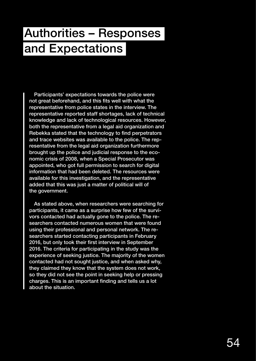### Authorities – Responses and Expectations

Participants' expectations towards the police were not great beforehand, and this fits well with what the representative from police states in the interview. The representative reported staff shortages, lack of technical knowledge and lack of technological resources. However, both the representative from a legal aid organization and Rebekka stated that the technology to find perpetrators and trace websites was available to the police. The representative from the legal aid organization furthermore brought up the police and judicial response to the economic crisis of 2008, when a Special Prosecutor was appointed, who got full permission to search for digital information that had been deleted. The resources were available for this investigation, and the representative added that this was just a matter of political will of the government.

As stated above, when researchers were searching for participants, it came as a surprise how few of the survivors contacted had actually gone to the police. The researchers contacted numerous women that were found using their professional and personal network. The researchers started contacting participants in February 2016, but only took their first interview in September 2016. The criteria for participating in the study was the experience of seeking justice. The majority of the women contacted had not sought justice, and when asked why, they claimed they know that the system does not work, so they did not see the point in seeking help or pressing charges. This is an important finding and tells us a lot about the situation.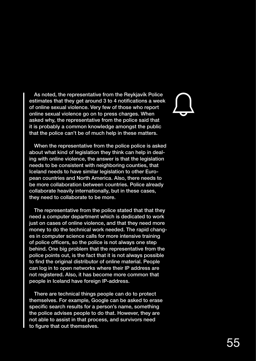As noted, the representative from the Reykjavík Police estimates that they get around 3 to 4 notifications a week of online sexual violence. Very few of those who report online sexual violence go on to press charges. When asked why, the representative from the police said that it is probably a common knowledge amongst the public that the police can't be of much help in these matters.

When the representative from the police police is asked about what kind of legislation they think can help in dealing with online violence, the answer is that the legislation needs to be consistent with neighboring counties, that Iceland needs to have similar legislation to other European countries and North America. Also, there needs to be more collaboration between countries. Police already collaborate heavily internationally, but in these cases, they need to collaborate to be more.

The representative from the police stated that that they need a computer department which is dedicated to work just on cases of online violence, and that they need more money to do the technical work needed. The rapid changes in computer science calls for more intensive training of police officers, so the police is not always one step behind. One big problem that the representative from the police points out, is the fact that it is not always possible to find the original distributor of online material. People can log in to open networks where their IP address are not registered. Also, it has become more common that people in Iceland have foreign IP-address.

There are technical things people can do to protect themselves. For example, Google can be asked to erase specific search results for a person's name, something the police advises people to do that. However, they are not able to assist in that process, and survivors need to figure that out themselves.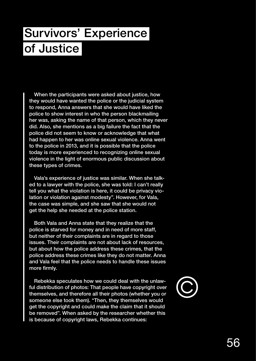## Survivors' Experience of Justice

When the participants were asked about justice, how they would have wanted the police or the judicial system to respond, Anna answers that she would have liked the police to show interest in who the person blackmailing her was, asking the name of that person, which they never did. Also, she mentions as a big failure the fact that the police did not seem to know or acknowledge that what had happen to her was online sexual violence. Anna went to the police in 2013, and it is possible that the police today is more experienced to recognizing online sexual violence in the light of enormous public discussion about these types of crimes.

Vala's experience of justice was similar. When she talked to a lawyer with the police, she was told: I can't really tell you what the violation is here, it could be privacy violation or violation against modesty". However, for Vala, the case was simple, and she saw that she would not get the help she needed at the police station.

Both Vala and Anna state that they realize that the police is starved for money and in need of more staff, but neither of their complaints are in regard to those issues. Their complaints are not about lack of resources, but about how the police address these crimes, that the police address these crimes like they do not matter. Anna and Vala feel that the police needs to handle these issues more firmly.

Rebekka speculates how we could deal with the unlawful distribution of photos: That people have copyright over themselves, and therefore all their photos (whether you or someone else took them). "Then, they themselves would get the copyright and could make the claim that it should be removed". When asked by the researcher whether this is because of copyright laws, Rebekka continues: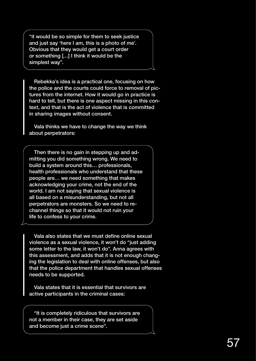"it would be so simple for them to seek justice and just say 'here I am, this is a photo of me'. Obvious that they would get a court order or something […] I think it would be the simplest way".

Rebekka's idea is a practical one, focusing on how the police and the courts could force to removal of pictures from the internet. How it would go in practice is hard to tell, but there is one aspect missing in this context, and that is the act of violence that is committed in sharing images without consent.

Vala thinks we have to change the way we think about perpetrators:

Then there is no gain in stepping up and admitting you did something wrong. We need to build a system around this… professionals, health professionals who understand that these people are… we need something that makes acknowledging your crime, not the end of the world. I am not saying that sexual violence is all based on a misunderstanding, but not all perpetrators are monsters. So we need to rechannel things so that it would not ruin your life to confess to your crime.

Vala also states that we must define online sexual violence as a sexual violence, it won't do "just adding some letter to the law, it won't do". Anna agrees with this assessment, and adds that it is not enough changing the legislation to deal with online offenses, but also that the police department that handles sexual offenses needs to be supported.

Vala states that it is essential that survivors are active participants in the criminal cases:

"It is completely ridiculous that survivors are not a member in their case, they are set aside and become just a crime scene".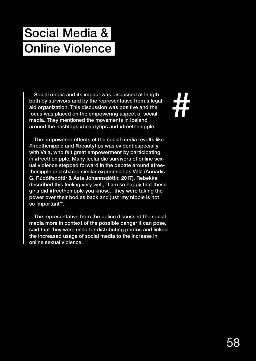# Social Media & Online Violence

Social media and its impact was discussed at length both by survivors and by the representative from a legal aid organization. This discussion was positive and the focus was placed on the empowering aspect of social media. They mentioned the movements in Iceland around the hashtags #beautytips and #freethenipple.

The empowered effects of the social media revolts like #freethenipple and #beautytips was evident especially with Vala, who felt great empowerment by participating in #freethenipple. Many Icelandic survivors of online sexual violence stepped forward in the debate around #freethenipple and shared similar experience as Vala (Annadís G. Rúdólfsdóttir & Ásta Jóhannsdóttir, 2017). Rebekka described this feeling very well; "I am so happy that these girls did #freethenipple you know… they were taking the power over their bodies back and just 'my nipple is not so important'".

The representative from the police discussed the social media more in context of the possible danger it can pose, said that they were used for distributing photos and linked the increased usage of social media to the increase in online sexual violence.

#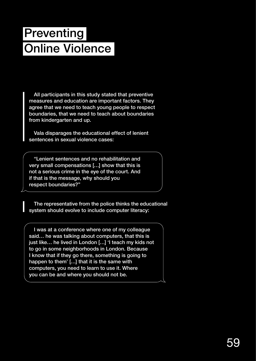# **Preventing** Online Violence

All participants in this study stated that preventive measures and education are important factors. They agree that we need to teach young people to respect boundaries, that we need to teach about boundaries from kindergarten and up.

Vala disparages the educational effect of lenient sentences in sexual violence cases:

"Lenient sentences and no rehabilitation and very small compensations […] show that this is not a serious crime in the eye of the court. And if that is the message, why should you respect boundaries?"

The representative from the police thinks the educational system should evolve to include computer literacy:

I was at a conference where one of my colleague said… he was talking about computers, that this is just like… he lived in London […] 'I teach my kids not to go in some neighborhoods in London. Because I know that if they go there, something is going to happen to them' […] that it is the same with computers, you need to learn to use it. Where you can be and where you should not be.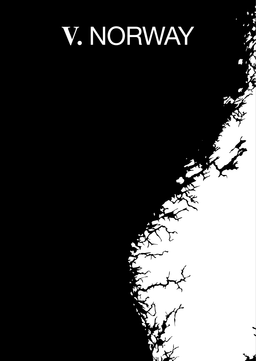# **Ⅴ.** NORWAY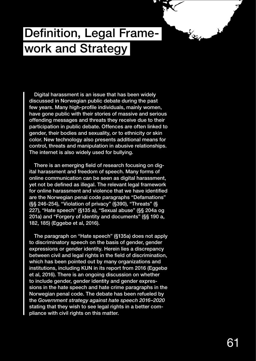#### Definition, Legal Framework and Strategy

Digital harassment is an issue that has been widely discussed in Norwegian public debate during the past few years. Many high-profile individuals, mainly women, have gone public with their stories of massive and serious offending messages and threats they receive due to their participation in public debate. Offences are often linked to gender, their bodies and sexuality, or to ethnicity or skin color. New technology also presents additional means for control, threats and manipulation in abusive relationships. The internet is also widely used for bullying.

There is an emerging field of research focusing on digital harassment and freedom of speech. Many forms of online communication can be seen as digital harassment, yet not be defined as illegal. The relevant legal framework for online harassment and violence that we have identified are the Norwegian penal code paragraphs "Defamations" (§§ 246-254), "Violation of privacy" (§390), "Threats" (§ 227), "Hate speech" (§135 a), "Sexual abuse" (§§ 204a og 201a) and "Forgery of identity and documents" (§§ 190 a, 182, 185) (Eggebø et al, 2016).

The paragraph on "Hate speech" (§135a) does not apply to discriminatory speech on the basis of gender, gender expressions or gender identity. Herein lies a discrepancy between civil and legal rights in the field of discrimination, which has been pointed out by many organizations and institutions, including KUN in its report from 2016 (Eggebø et al, 2016). There is an ongoing discussion on whether to include gender, gender identity and gender expressions in the hate speech and hate crime paragraphs in the Norwegian penal code. The debate has been refueled by the *Government strategy against hate speech 2016–2020*  stating that they wish to see legal rights in a better compliance with civil rights on this matter.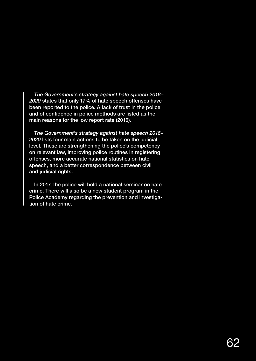*The Government's strategy against hate speech 2016– 2020* states that only 17% of hate speech offenses have been reported to the police. A lack of trust in the police and of confidence in police methods are listed as the main reasons for the low report rate (2016).

*The Government's strategy against hate speech 2016– 2020* lists four main actions to be taken on the judicial level. These are strengthening the police's competency on relevant law, improving police routines in registering offenses, more accurate national statistics on hate speech, and a better correspondence between civil and judicial rights.

In 2017, the police will hold a national seminar on hate crime. There will also be a new student program in the Police Academy regarding the prevention and investigation of hate crime.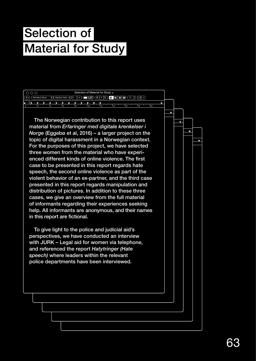# Selection of Material for Study

| Selection of Material for Study v<br>  0 0 0 |  |                |                       |                      |                      |      |                                               |        |    |    |  |  |  |
|----------------------------------------------|--|----------------|-----------------------|----------------------|----------------------|------|-----------------------------------------------|--------|----|----|--|--|--|
| $\sqrt{2}$                                   |  |                |                       |                      |                      |      |                                               |        |    |    |  |  |  |
|                                              |  |                | в<br>$\triangleright$ | $\ddot{\phantom{1}}$ |                      |      |                                               |        |    |    |  |  |  |
|                                              |  | $\overline{A}$ | 6 <sup>1</sup>        |                      | $\blacksquare$<br>4n | 1424 | $\blacktriangleleft$ 14 $\blacktriangleright$ | $16-1$ | 18 | 20 |  |  |  |

*Norge* (Eggebø et al, 2016) – a larger project on the strather the 0 2 4 6 8 10 12 14 16 18 20 For the purposes of this project, we have selected material from *Erfaringer med digitale krenkelser i material* The Norwegian contribution to this report uses topic of digital harassment in a Norwegian context. three women from the material who have experienced different kinds of online violence. The first case to be presented in this report regards hate speech, the second online violence as part of the violent behavior of an ex-partner, and the third case presented in this report regards manipulation and distribution of pictures. In addition to these three cases, we give an overview from the full material of informants regarding their experiences seeking help. All informants are anonymous, and their names in this report are fictional.

To give light to the police and judicial aid's perspectives, we have conducted an interview with JURK – Legal aid for women via telephone, and referenced the report *Hatytringer (Hate speech)* where leaders within the relevant police departments have been interviewed.

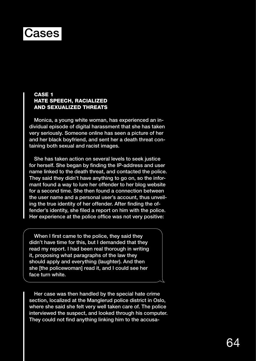#### Cases

#### CASE<sub>1</sub> HATE SPEECH, RACIALIZED AND SEXUALIZED THREATS

Monica, a young white woman, has experienced an individual episode of digital harassment that she has taken very seriously. Someone online has seen a picture of her and her black boyfriend, and sent her a death threat containing both sexual and racist images.

She has taken action on several levels to seek justice for herself. She began by finding the IP-address and user name linked to the death threat, and contacted the police. They said they didn't have anything to go on, so the informant found a way to lure her offender to her blog website for a second time. She then found a connection between the user name and a personal user's account, thus unveiling the true identity of her offender. After finding the offender's identity, she filed a report on him with the police. Her experience at the police office was not very positive:

When I first came to the police, they said they didn't have time for this, but I demanded that they read my report. I had been real thorough in writing it, proposing what paragraphs of the law they should apply and everything (laughter). And then she [the policewoman] read it, and I could see her face turn white.

Her case was then handled by the special hate crime section, localized at the Manglerud police district in Oslo, where she said she felt very well taken care of. The police interviewed the suspect, and looked through his computer. They could not find anything linking him to the accusa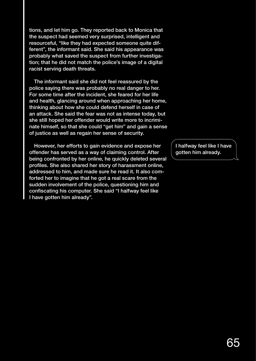tions, and let him go. They reported back to Monica that the suspect had seemed very surprised, intelligent and resourceful, "like they had expected someone quite different", the informant said. She said his appearance was probably what saved the suspect from further investigation; that he did not match the police's image of a digital racist serving death threats.

The informant said she did not feel reassured by the police saying there was probably no real danger to her. For some time after the incident, she feared for her life and health, glancing around when approaching her home, thinking about how she could defend herself in case of an attack. She said the fear was not as intense today, but she still hoped her offender would write more to incriminate himself, so that she could "get him" and gain a sense of justice as well as regain her sense of security.

However, her efforts to gain evidence and expose her offender has served as a way of claiming control. After being confronted by her online, he quickly deleted several profiles. She also shared her story of harassment online, addressed to him, and made sure he read it. It also comforted her to imagine that he got a real scare from the sudden involvement of the police, questioning him and confiscating his computer. She said "I halfway feel like I have gotten him already".

I halfway feel like I have gotten him already.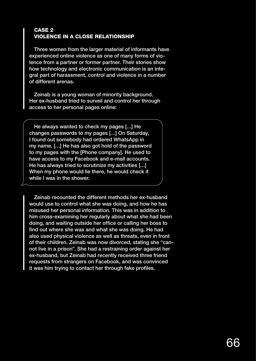#### CASE 2 VIOLENCE IN A CLOSE RELATIONSHIP

Three women from the larger material of informants have experienced online violence as one of many forms of violence from a partner or former partner. Their stories show how technology and electronic communication is an integral part of harassment, control and violence in a number of different arenas.

Zeinab is a young woman of minority background. Her ex-husband tried to surveil and control her through access to her personal pages online:

He always wanted to check my pages […] He changes passwords to my pages […] On Saturday, I found out somebody had ordered WhatsApp in my name. […] He has also got hold of the password to my pages with the [Phone company]. He used to have access to my Facebook and e-mail accounts. He has always tried to scrutinize my activities […] When my phone would lie there, he would check it while I was in the shower.

Zeinab recounted the different methods her ex-husband would use to control what she was doing, and how he has misused her personal information. This was in addition to him cross-examining her regularly about what she had been doing, and waiting outside her office or calling her boss to find out where she was and what she was doing. He had also used physical violence as well as threats, even in front of their children. Zeinab was now divorced, stating she "cannot live in a prison". She had a restraining order against her ex-husband, but Zeinab had recently received three friend requests from strangers on Facebook, and was convinced it was him trying to contact her through fake profiles.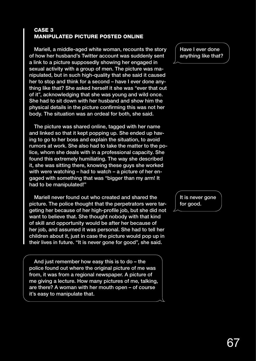#### CASE 3 MANIPULATED PICTURE POSTED ONLINE

Mariell, a middle-aged white woman, recounts the story of how her husband's Twitter account was suddenly sent a link to a picture supposedly showing her engaged in sexual activity with a group of men. The picture was manipulated, but in such high-quality that she said it caused her to stop and think for a second – have I ever done anything like that? She asked herself it she was "ever that out of it", acknowledging that she was young and wild once. She had to sit down with her husband and show him the physical details in the picture confirming this was not her body. The situation was an ordeal for both, she said.

The picture was shared online, tagged with her name and linked so that it kept popping up. She ended up having to go to her boss and explain the situation, to avoid rumors at work. She also had to take the matter to the police, whom she deals with in a professional capacity. She found this extremely humiliating. The way she described it, she was sitting there, knowing these guys she worked with were watching – had to watch – a picture of her engaged with something that was "bigger than my arm! It had to be manipulated!"

Mariell never found out who created and shared the picture. The police thought that the perpetrators were targeting her because of her high-profile job, but she did not want to believe that. She thought nobody with that kind of skill and opportunity would be after her because of her job, and assumed it was personal. She had to tell her children about it, just in case the picture would pop up in their lives in future. "It is never gone for good", she said.

And just remember how easy this is to do – the police found out where the original picture of me was from, it was from a regional newspaper. A picture of me giving a lecture. How many pictures of me, talking, are there? A woman with her mouth open – of course it's easy to manipulate that.

Have I ever done anything like that?

It is never gone for good.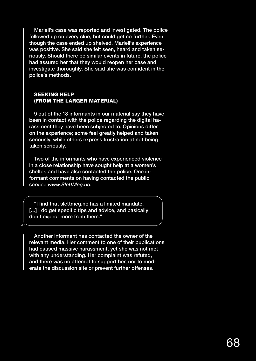Mariell's case was reported and investigated. The police followed up on every clue, but could get no further. Even though the case ended up shelved, Mariell's experience was positive. She said she felt seen, heard and taken seriously. Should there be similar events in future, the police had assured her that they would reopen her case and investigate thoroughly. She said she was confident in the police's methods.

## SEEKING HELP (FROM THE LARGER MATERIAL)

9 out of the 18 informants in our material say they have been in contact with the police regarding the digital harassment they have been subjected to. Opinions differ on the experience; some feel greatly helped and taken seriously, while others express frustration at not being taken seriously.

Two of the informants who have experienced violence in a close relationship have sought help at a women's shelter, and have also contacted the police. One informant comments on having contacted the public service *www.SlettMeg.no*:

"I find that slettmeg.no has a limited mandate, [...] I do get specific tips and advice, and basically don't expect more from them."

Another informant has contacted the owner of the relevant media. Her comment to one of their publications had caused massive harassment, yet she was not met with any understanding. Her complaint was refuted, and there was no attempt to support her, nor to moderate the discussion site or prevent further offenses.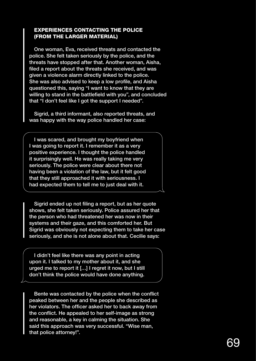## EXPERIENCES CONTACTING THE POLICE (FROM THE LARGER MATERIAL)

One woman, Eva, received threats and contacted the police. She felt taken seriously by the police, and the threats have stopped after that. Another woman, Aisha, filed a report about the threats she received, and was given a violence alarm directly linked to the police. She was also advised to keep a low profile, and Aisha questioned this, saying "I want to know that they are willing to stand in the battlefield with you", and concluded that "I don't feel like I got the support I needed".

Sigrid, a third informant, also reported threats, and was happy with the way police handled her case:

I was scared, and brought my boyfriend when I was going to report it. I remember it as a very positive experience. I thought the police handled it surprisingly well. He was really taking me very seriously. The police were clear about there not having been a violation of the law, but it felt good that they still approached it with seriousness. I had expected them to tell me to just deal with it.

Sigrid ended up not filing a report, but as her quote shows, she felt taken seriously. Police assured her that the person who had threatened her was now in their systems and their gaze, and this comforted her. But Sigrid was obviously not expecting them to take her case seriously, and she is not alone about that. Cecilie says:

I didn't feel like there was any point in acting upon it. I talked to my mother about it, and she urged me to report it […] I regret it now, but I still don't think the police would have done anything.

Bente was contacted by the police when the conflict peaked between her and the people she described as her violators. The officer asked her to back away from the conflict. He appealed to her self-image as strong and reasonable, a key in calming the situation. She said this approach was very successful. "Wise man, that police attorney!".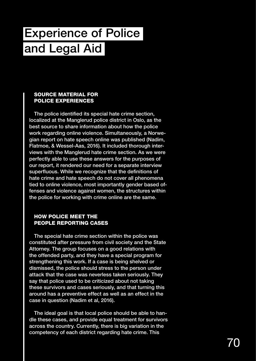# Experience of Police and Legal Aid

## SOURCE MATERIAL FOR POLICE EXPERIENCES

The police identified its special hate crime section, localized at the Manglerud police district in Oslo, as the best source to share information about how the police work regarding online violence. Simultaneously, a Norwegian report on hate speech online was published (Nadim, Flatmoe, & Wessel-Aas, 2016). It included thorough interviews with the Manglerud hate crime section. As we were perfectly able to use these answers for the purposes of our report, it rendered our need for a separate interview superfluous. While we recognize that the definitions of hate crime and hate speech do not cover all phenomena tied to online violence, most importantly gender based offenses and violence against women, the structures within the police for working with crime online are the same.

## HOW POLICE MEET THE PEOPLE REPORTING CASES

The special hate crime section within the police was constituted after pressure from civil society and the State Attorney. The group focuses on a good relations with the offended party, and they have a special program for strengthening this work. If a case is being shelved or dismissed, the police should stress to the person under attack that the case was neverless taken seriously. They say that police used to be criticized about not taking these survivors and cases seriously, and that turning this around has a preventive effect as well as an effect in the case in question (Nadim et al, 2016).

The ideal goal is that local police should be able to handle these cases, and provide equal treatment for survivors across the country. Currently, there is big variation in the competency of each district regarding hate crime. This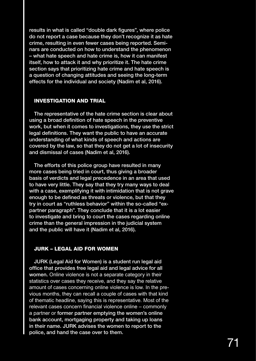results in what is called "double dark figures", where police do not report a case because they don't recognize it as hate crime, resulting in even fewer cases being reported. Seminars are conducted on how to understand the phenomenon – what hate speech and hate crime is, how it can manifest itself, how to attack it and why prioritize it. The hate crime section says that prioritizing hate crime and hate speech is a question of changing attitudes and seeing the long-term effects for the individual and society (Nadim et al, 2016).

### INVESTIGATION AND TRIAL

The representative of the hate crime section is clear about using a broad definition of hate speech in the preventive work, but when it comes to investigations, they use the strict legal definitions. They want the public to have an accurate understanding of what kinds of speech and actions are covered by the law, so that they do not get a lot of insecurity and dismissal of cases (Nadim et al, 2016).

The efforts of this police group have resulted in many more cases being tried in court, thus giving a broader basis of verdicts and legal precedence in an area that used to have very little. They say that they try many ways to deal with a case, exemplifying it with intimidation that is not grave enough to be defined as threats or violence, but that they try in court as "ruthless behavior" within the so-called "expartner paragraph". They conclude that it is a lot easier to investigate and bring to court the cases regarding online crime than the general impression in the judicial system and the public will have it (Nadim et al, 2016).

### JURK – LEGAL AID FOR WOMEN

JURK (Legal Aid for Women) is a student run legal aid office that provides free legal aid and legal advice for all women. Online violence is not a separate category in their statistics over cases they receive, and they say the relative amount of cases concerning online violence is low. In the previous months, they can recall a couple of cases with that kind of thematic headline, saying this is representative. Most of the relevant cases concern financial violence online – commonly a partner or former partner emptying the women's online bank account, mortgaging property and taking up loans in their name. JURK advises the women to report to the police, and hand the case over to them.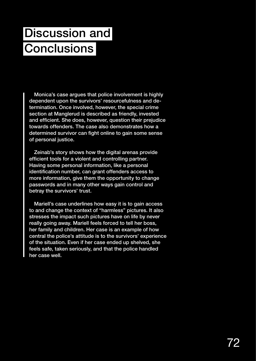# Discussion and Conclusions

Monica's case argues that police involvement is highly dependent upon the survivors' resourcefulness and determination. Once involved, however, the special crime section at Manglerud is described as friendly, invested and efficient. She does, however, question their prejudice towards offenders. The case also demonstrates how a determined survivor can fight online to gain some sense of personal justice.

Zeinab's story shows how the digital arenas provide efficient tools for a violent and controlling partner. Having some personal information, like a personal identification number, can grant offenders access to more information, give them the opportunity to change passwords and in many other ways gain control and betray the survivors' trust.

Mariell's case underlines how easy it is to gain access to and change the context of "harmless" pictures. It also stresses the impact such pictures have on life by never really going away. Mariell feels forced to tell her boss, her family and children. Her case is an example of how central the police's attitude is to the survivors' experience of the situation. Even if her case ended up shelved, she feels safe, taken seriously, and that the police handled her case well.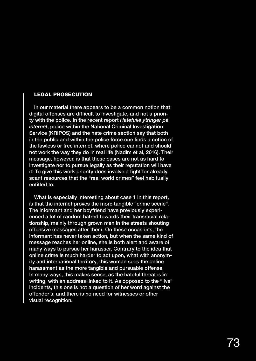### LEGAL PROSECUTION

In our material there appears to be a common notion that digital offenses are difficult to investigate, and not a priority with the police. In the recent report *Hatefulle ytringer på internet*, police within the National Criminal Investigation Service (KRIPOS) and the hate crime section say that both in the public and within the police force one finds a notion of the lawless or free internet, where police cannot and should not work the way they do in real life (Nadim et al, 2016). Their message, however, is that these cases are not as hard to investigate nor to pursue legally as their reputation will have it. To give this work priority does involve a fight for already scant resources that the "real world crimes" feel habitually entitled to.

What is especially interesting about case 1 in this report, is that the internet proves the more tangible "crime scene". The informant and her boyfriend have previously experienced a lot of random hatred towards their transracial relationship, mainly through grown men in the streets shouting offensive messages after them. On these occasions, the informant has never taken action, but when the same kind of message reaches her online, she is both alert and aware of many ways to pursue her harasser. Contrary to the idea that online crime is much harder to act upon, what with anonymity and international territory, this woman sees the online harassment as the more tangible and pursuable offense. In many ways, this makes sense, as the hateful threat is in writing, with an address linked to it. As opposed to the "live" incidents, this one is not a question of her word against the offender's, and there is no need for witnesses or other visual recognition.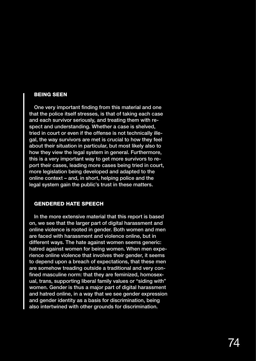### BEING SEEN

One very important finding from this material and one that the police itself stresses, is that of taking each case and each survivor seriously, and treating them with respect and understanding. Whether a case is shelved, tried in court or even if the offense is not technically illegal, the way survivors are met is crucial to how they feel about their situation in particular, but most likely also to how they view the legal system in general. Furthermore, this is a very important way to get more survivors to report their cases, leading more cases being tried in court, more legislation being developed and adapted to the online context – and, in short, helping police and the legal system gain the public's trust in these matters.

## GENDERED HATE SPEECH

In the more extensive material that this report is based on, we see that the larger part of digital harassment and online violence is rooted in gender. Both women and men are faced with harassment and violence online, but in different ways. The hate against women seems generic: hatred against women for being women. When men experience online violence that involves their gender, it seems to depend upon a breach of expectations, that these men are somehow treading outside a traditional and very confined masculine norm: that they are feminized, homosexual, trans, supporting liberal family values or "siding with" women. Gender is thus a major part of digital harassment and hatred online, in a way that we see gender expression and gender identity as a basis for discrimination, being also intertwined with other grounds for discrimination.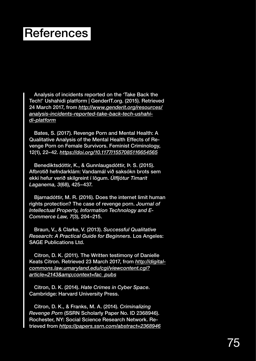## **References**

Analysis of incidents reported on the 'Take Back the Tech!' Ushahidi platform | GenderIT.org. (2015). Retrieved 24 March 2017, from *http://www.genderit.org/resources/ analysis-incidents-reported-take-back-tech-ushahidi-platform*

Bates, S. (2017). Revenge Porn and Mental Health: A Qualitative Analysis of the Mental Health Effects of Revenge Porn on Female Survivors. Feminist Criminology, 12(1), 22–42. *https://doi.org/10.1177/1557085116654565*

Benediktsdóttir, K., & Gunnlaugsdóttir, Þ. S. (2015). Afbrotið hefndarklám: Vandamál við saksókn brots sem ekki hefur verið skilgreint í lögum. *Úlfljótur Tímarit Laganema, 3*(68), 425–437.

Bjarnadóttir, M. R. (2016). Does the internet limit human rights protection? The case of revenge porn. *Journal of Intellectual Property, Information Technology and E-Commerce Law, 7*(3), 204–215.

Braun, V., & Clarke, V. (2013). *Successful Qualitative Research: A Practical Guide for Beginners*. Los Angeles: SAGE Publications Ltd.

Citron, D. K. (2011). The Written testimony of Danielle Keats Citron. Retrieved 23 March 2017, from *http://digitalcommons.law.umaryland.edu/cgi/viewcontent.cgi? article=2143&context=fac\_pubs*

Citron, D. K. (2014). *Hate Crimes in Cyber Space*. Cambridge: Harvard University Press.

Citron, D. K., & Franks, M. A. (2014). *Criminalizing Revenge Porn* (SSRN Scholarly Paper No. ID 2368946). Rochester, NY: Social Science Research Network. Retrieved from *https://papers.ssrn.com/abstract=2368946*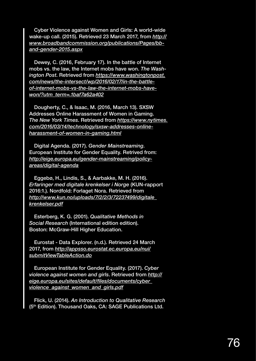Cyber Violence against Women and Girls: A world-wide wake-up call. (2015). Retrieved 23 March 2017, from *http:// www.broadbandcommission.org/publications/Pages/bband-gender-2015.aspx*

Dewey, C. (2016, February 17). In the battle of Internet mobs vs. the law, the Internet mobs have won. *The Washington Post*. Retrieved from *https://www.washingtonpost. com/news/the-intersect/wp/2016/02/17/in-the-battleof-internet-mobs-vs-the-law-the-internet-mobs-havewon/?utm\_term=.1baf7a62a402*

Dougherty, C., & Isaac, M. (2016, March 13). SXSW Addresses Online Harassment of Women in Gaming. *The New York Times*. Retrieved from *https://www.nytimes. com/2016/03/14/technology/sxsw-addresses-onlineharassment-of-women-in-gaming.html*

Digital Agenda. (2017). *Gender Mainstreaming*. European Institute for Gender Equality. Retrived from: *http://eige.europa.eu/gender-mainstreaming/policyareas/digital-agenda*

Eggebø, H., Lindis, S., & Aarbakke, M. H. (2016). *Erfaringer med digitale krenkelser i Norge* (KUN-rapport 2016:1.). Nordfold: Forlaget Nora. Retrieved from *http://www.kun.no/uploads/7/2/2/3/72237499/digitale\_ krenkelser.pdf*

Esterberg, K. G. (2001). *Qualitative Methods in Social Research* (International edition edition). Boston: McGraw-Hill Higher Education.

Eurostat - Data Explorer. (n.d.). Retrieved 24 March 2017, from *http://appsso.eurostat.ec.europa.eu/nui/ submitViewTableAction.do*

European Institute for Gender Equality. (2017). *Cyber violence against women and girls*. Retrieved from *http:// eige.europa.eu/sites/default/files/documents/cyber\_ violence\_against\_women\_and\_girls.pdf*

Flick, U. (2014). *An Introduction to Qualitative Research*  (5<sup>th</sup> Edition). Thousand Oaks, CA: SAGE Publications Ltd.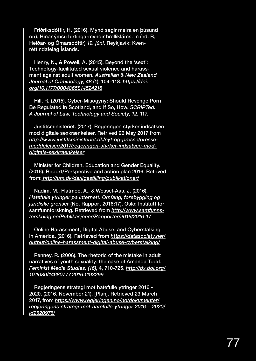Friðriksdóttir, H. (2016). Mynd segir meira en þúsund orð; Hinar ýmsu birtingarmyndir hrellikláms. In (ed. B, Heiðar- og Ómarsdóttir) *19. júní*. Reykjavík: Kvenréttindafélag Íslands.

Henry, N., & Powell, A. (2015). Beyond the 'sext': Technology-facilitated sexual violence and harassment against adult women. *Australian & New Zealand Journal of Criminology, 48* (1), 104–118. *https://doi. org/10.1177/0004865814524218*

Hill, R. (2015). Cyber-Misogyny: Should Revenge Porn Be Regulated in Scotland, and If So, How. *SCRIPTed: A Journal of Law, Technology and Society*, *12*, 117.

Justitsministeriet. (2017). Regeringen styrker indsatsen mod digitale sexkrænkelser. Retrived 26 May 2017 from *http://www.justitsministeriet.dk/nyt-og-presse/pressemeddelelser/2017/regeringen-styrker-indsatsen-moddigitale-sexkraenkelser*

Minister for Children, Education and Gender Equality. (2016). Report/Perspective and action plan 2016. Retrived from: *http://um.dk/da/ligestilling/publikationer/*

Nadim, M., Flatmoe, A., & Wessel-Aas, J. (2016). *Hatefulle ytringer på internett. Omfang, forebygging og juridiske grenser* (No. Rapport 2016:17). Oslo: Institutt for samfunnforskning. Retrieved from *http://www.samfunnsforskning.no/Publikasjoner/Rapporter/2016/2016-17*

Online Harassment, Digital Abuse, and Cyberstalking in America. (2016). Retrieved from *https://datasociety.net/ output/online-harassment-digital-abuse-cyberstalking/*

Penney, R. (2006). The rhetoric of the mistake in adult narratives of youth sexuality: the case of Amanda Todd. *Feminist Media Studies, (16)*, 4, 710-725. *http://dx.doi.org/ 10.1080/14680777.2016.1193299*

Regjeringens strategi mot hatefulle ytringer 2016 - 2020. (2016, November 21). [Plan]. Retrieved 23 March 2017, from *https://www.regjeringen.no/no/dokumenter/ regjeringens-strategi-mot-hatefulle-ytringer-2016---2020/ id2520975/*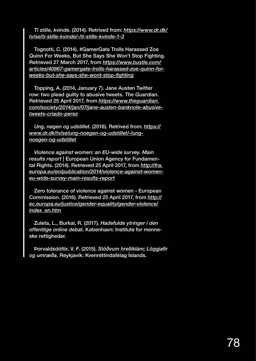*Ti stille, kvinde*. (2014). Retrived from: *https://www.dr.dk/ tv/se/ti-stille-kvinde/-/ti-stille-kvinde-1-3*

Tognotti, C. (2014). #GamerGate Trolls Harassed Zoe Quinn For Weeks, But She Says She Won't Stop Fighting. Retrieved 27 March 2017, from *https://www.bustle.com/ articles/40867-gamergate-trolls-harassed-zoe-quinn-forweeks-but-she-says-she-wont-stop-fighting*

Topping, A. (2014, January 7). Jane Austen Twitter row: two plead guilty to abusive tweets. *The Guardian*. Retrieved 25 April 2017, from *https://www.theguardian. com/society/2014/jan/07/jane-austen-banknote-abusivetweets-criado-perez*

*Ung, nøgen og udstillet*. (2016). Retrived from: *https:// www.dr.dk/tv/se/ung-noegen-og-udstillet/-/ungnoegen-og-udstillet*

*Violence against women: an EU-wide survey. Main results report* | European Union Agency for Fundamental Rights. (2014). Retrieved 25 April 2017, from *http://fra. europa.eu/en/publication/2014/violence-against-womeneu-wide-survey-main-results-report*

Zero tolerance of violence against women - European Commission. (2016). Retrieved 25 April 2017, from *http:// ec.europa.eu/justice/gender-equality/gender-violence/ index\_en.htm*

Zuleta, L., Burkal, R. (2017). *Hadefulde ytringer i den offentlige online debat*. København: Institute for menneske rettigheder.

Þorvaldsdóttir, V. F. (2015). *Stöðvum hrelliklám; Löggjafir og umræða*. Reykjavík: Kvenréttindafélag Íslands.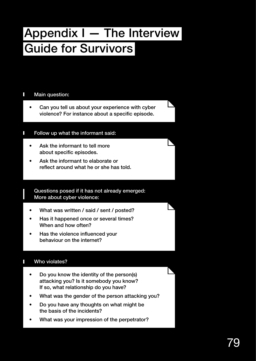## Appendix I — The Interview Guide for Survivors

#### Main question: П

• Can you tell us about your experience with cyber violence? For instance about a specific episode.

## Follow up what the informant said:

- Ask the informant to tell more about specific episodes.
- Ask the informant to elaborate or reflect around what he or she has told.

## Questions posed if it has not already emerged: More about cyber violence:

- What was written / said / sent / posted?
- Has it happened once or several times? When and how often?
- Has the violence influenced your behaviour on the internet?

## Who violates?

- Do you know the identity of the person(s) attacking you? Is it somebody you know? If so, what relationship do you have?
- What was the gender of the person attacking you?
- Do you have any thoughts on what might be the basis of the incidents?
- What was your impression of the perpetrator?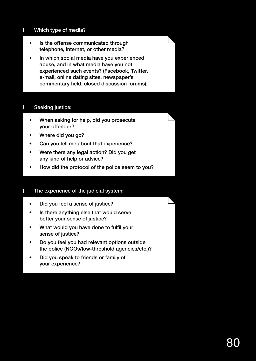#### Г Which type of media?

- Is the offense communicated through telephone, internet, or other media?
- In which social media have you experienced abuse, and in what media have you not experienced such events? (Facebook, Twitter, e-mail, online dating sites, newspaper's commentary field, closed discussion forums).

## Seeking justice:

- When asking for help, did you prosecute your offender?
- Where did you go?
- Can you tell me about that experience?
- Were there any legal action? Did you get any kind of help or advice?
- How did the protocol of the police seem to you?

#### The experience of the judicial system: Г

- Did you feel a sense of justice?
- Is there anything else that would serve better your sense of justice?
- What would you have done to fulfil your sense of justice?
- Do you feel you had relevant options outside the police (NGOs/low-threshold agencies/etc.)?
- Did you speak to friends or family of your experience?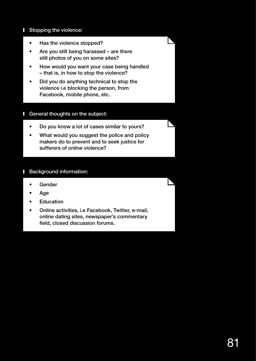#### П Stopping the violence:

- Has the violence stopped?
- Are you still being harassed are there still photos of you on some sites?
- How would you want your case being handled – that is, in how to stop the violence?
- Did you do anything technical to stop the violence i.e blocking the person, from Facebook, mobile phone, etc.

#### General thoughts on the subject: Ш

- Do you know a lot of cases similar to yours?
- What would you suggest the police and policy makers do to prevent and to seek justice for sufferers of online violence?

#### Background information: Н

- Gender
- Age
- **Education**
- Online activities, i.e Facebook, Twitter, e-mail, online dating sites, newspaper's commentary field, closed discussion forums.